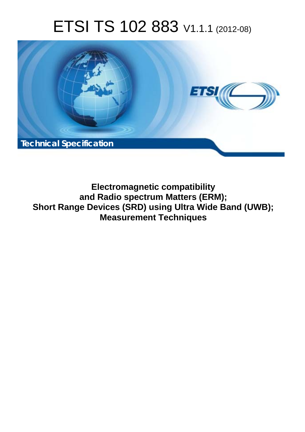# ETSI TS 102 883 V1.1.1 (2012-08)



**Electromagnetic compatibility and Radio spectrum Matters (ERM); Short Range Devices (SRD) using Ultra Wide Band (UWB); Measurement Techniques**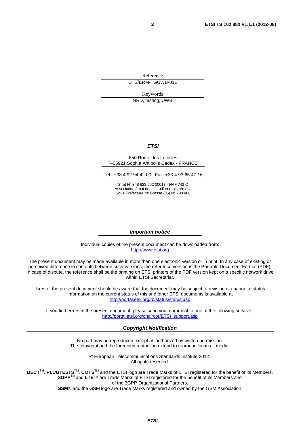Reference DTS/ERM-TGUWB-011

Keywords

SRD, testing, UWB

#### *ETSI*

#### 650 Route des Lucioles F-06921 Sophia Antipolis Cedex - FRANCE

Tel.: +33 4 92 94 42 00 Fax: +33 4 93 65 47 16

Siret N° 348 623 562 00017 - NAF 742 C Association à but non lucratif enregistrée à la Sous-Préfecture de Grasse (06) N° 7803/88

#### *Important notice*

Individual copies of the present document can be downloaded from: [http://www.etsi.org](http://www.etsi.org/)

The present document may be made available in more than one electronic version or in print. In any case of existing or perceived difference in contents between such versions, the reference version is the Portable Document Format (PDF). In case of dispute, the reference shall be the printing on ETSI printers of the PDF version kept on a specific network drive within ETSI Secretariat.

Users of the present document should be aware that the document may be subject to revision or change of status. Information on the current status of this and other ETSI documents is available at <http://portal.etsi.org/tb/status/status.asp>

If you find errors in the present document, please send your comment to one of the following services: [http://portal.etsi.org/chaircor/ETSI\\_support.asp](http://portal.etsi.org/chaircor/ETSI_support.asp)

#### *Copyright Notification*

No part may be reproduced except as authorized by written permission. The copyright and the foregoing restriction extend to reproduction in all media.

> © European Telecommunications Standards Institute 2012. All rights reserved.

**DECT**TM, **PLUGTESTS**TM, **UMTS**TM and the ETSI logo are Trade Marks of ETSI registered for the benefit of its Members. **3GPP**TM and **LTE**™ are Trade Marks of ETSI registered for the benefit of its Members and of the 3GPP Organizational Partners.

**GSM**® and the GSM logo are Trade Marks registered and owned by the GSM Association.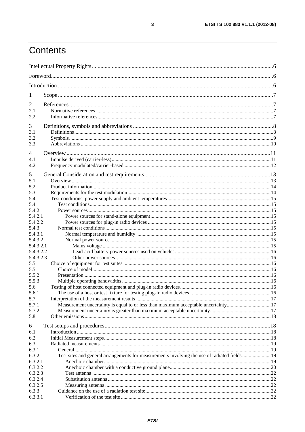# Contents

| 1                  |                                                                                             |  |  |
|--------------------|---------------------------------------------------------------------------------------------|--|--|
| $\overline{2}$     |                                                                                             |  |  |
| 2.1                |                                                                                             |  |  |
| 2.2                |                                                                                             |  |  |
|                    |                                                                                             |  |  |
| 3<br>3.1           |                                                                                             |  |  |
| 3.2                |                                                                                             |  |  |
| 3.3                |                                                                                             |  |  |
|                    |                                                                                             |  |  |
| 4                  |                                                                                             |  |  |
| 4.1                |                                                                                             |  |  |
| 4.2                |                                                                                             |  |  |
| 5                  |                                                                                             |  |  |
| 5.1                |                                                                                             |  |  |
| 5.2                |                                                                                             |  |  |
| 5.3                |                                                                                             |  |  |
| 5.4                |                                                                                             |  |  |
| 5.4.1              |                                                                                             |  |  |
| 5.4.2              |                                                                                             |  |  |
| 5.4.2.1            |                                                                                             |  |  |
| 5.4.2.2            |                                                                                             |  |  |
| 5.4.3              |                                                                                             |  |  |
| 5.4.3.1<br>5.4.3.2 |                                                                                             |  |  |
| 5.4.3.2.1          |                                                                                             |  |  |
| 5.4.3.2.2          |                                                                                             |  |  |
| 5.4.3.2.3          |                                                                                             |  |  |
| 5.5                |                                                                                             |  |  |
| 5.5.1              |                                                                                             |  |  |
| 5.5.2              |                                                                                             |  |  |
| 5.5.3              |                                                                                             |  |  |
| 5.6                |                                                                                             |  |  |
| 5.6.1              |                                                                                             |  |  |
| 5.7                |                                                                                             |  |  |
| 5.7.1              | Measurement uncertainty is equal to or less than maximum acceptable uncertainty17           |  |  |
| 5.7.2              |                                                                                             |  |  |
| 5.8                |                                                                                             |  |  |
| 6                  |                                                                                             |  |  |
| 6.1                |                                                                                             |  |  |
| 6.2                |                                                                                             |  |  |
| 6.3                |                                                                                             |  |  |
| 6.3.1              |                                                                                             |  |  |
| 6.3.2              | Test sites and general arrangements for measurements involving the use of radiated fields19 |  |  |
| 6.3.2.1            |                                                                                             |  |  |
| 6.3.2.2            |                                                                                             |  |  |
| 6.3.2.3<br>6.3.2.4 |                                                                                             |  |  |
| 6.3.2.5            |                                                                                             |  |  |
| 6.3.3              |                                                                                             |  |  |
| 6.3.3.1            |                                                                                             |  |  |
|                    |                                                                                             |  |  |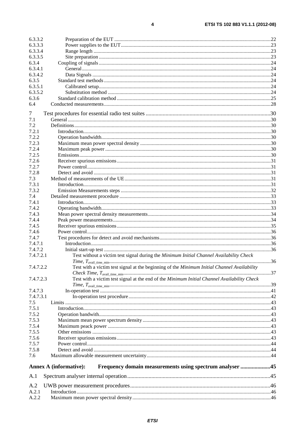| 6.3.3.2   |                                                                                             |  |
|-----------|---------------------------------------------------------------------------------------------|--|
| 6.3.3.3   |                                                                                             |  |
| 6.3.3.4   |                                                                                             |  |
| 6.3.3.5   |                                                                                             |  |
| 6.3.4     |                                                                                             |  |
| 6.3.4.1   |                                                                                             |  |
| 6.3.4.2   |                                                                                             |  |
| 6.3.5     |                                                                                             |  |
| 6.3.5.1   |                                                                                             |  |
| 6.3.5.2   |                                                                                             |  |
| 6.3.6     |                                                                                             |  |
| 6.4       |                                                                                             |  |
|           |                                                                                             |  |
| 7         |                                                                                             |  |
| 7.1       |                                                                                             |  |
| 7.2       |                                                                                             |  |
| 7.2.1     |                                                                                             |  |
| 7.2.2     |                                                                                             |  |
| 7.2.3     |                                                                                             |  |
| 7.2.4     |                                                                                             |  |
| 7.2.5     |                                                                                             |  |
| 7.2.6     |                                                                                             |  |
| 7.2.7     |                                                                                             |  |
| 7.2.8     |                                                                                             |  |
| 7.3       |                                                                                             |  |
| 7.3.1     |                                                                                             |  |
| 7.3.2     |                                                                                             |  |
| 7.4       |                                                                                             |  |
|           |                                                                                             |  |
| 7.4.1     |                                                                                             |  |
| 7.4.2     |                                                                                             |  |
| 7.4.3     |                                                                                             |  |
| 7.4.4     |                                                                                             |  |
| 7.4.5     |                                                                                             |  |
| 7.4.6     |                                                                                             |  |
| 7.4.7     |                                                                                             |  |
| 7.4.7.1   |                                                                                             |  |
| 7.4.7.2   |                                                                                             |  |
| 7.4.7.2.1 | Test without a victim test signal during the Minimum Initial Channel Availability Check     |  |
| 7.4.7.2.2 | Test with a victim test signal at the beginning of the Minimum Initial Channel Availability |  |
|           |                                                                                             |  |
|           |                                                                                             |  |
| 7.4.7.2.3 | Test with a victim test signal at the end of the Minimum Initial Channel Availability Check |  |
|           |                                                                                             |  |
| 7.4.7.3   |                                                                                             |  |
| 7.4.7.3.1 |                                                                                             |  |
| 7.5       |                                                                                             |  |
| 7.5.1     |                                                                                             |  |
| 7.5.2     |                                                                                             |  |
| 7.5.3     |                                                                                             |  |
| 7.5.4     |                                                                                             |  |
| 7.5.5     |                                                                                             |  |
| 7.5.6     |                                                                                             |  |
| 7.5.7     |                                                                                             |  |
| 7.5.8     |                                                                                             |  |
| 7.6       |                                                                                             |  |
|           |                                                                                             |  |
|           | Frequency domain measurements using spectrum analyser 45<br><b>Annex A (informative):</b>   |  |
| A.1       |                                                                                             |  |
| A.2       |                                                                                             |  |
| A.2.1     |                                                                                             |  |
| A.2.2     |                                                                                             |  |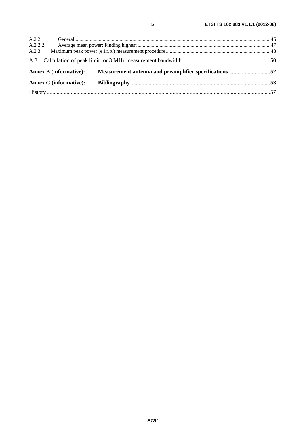| A.2.2.1 |                               |                                                                               |  |
|---------|-------------------------------|-------------------------------------------------------------------------------|--|
| A.2.2.2 |                               |                                                                               |  |
| A.2.3   |                               |                                                                               |  |
|         |                               |                                                                               |  |
|         |                               | Annex B (informative): Measurement antenna and preamplifier specifications 52 |  |
|         |                               |                                                                               |  |
|         | <b>Annex C</b> (informative): |                                                                               |  |

 $\overline{\mathbf{5}}$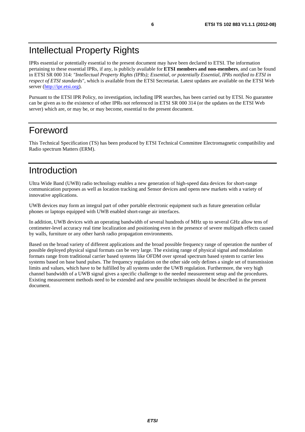# Intellectual Property Rights

IPRs essential or potentially essential to the present document may have been declared to ETSI. The information pertaining to these essential IPRs, if any, is publicly available for **ETSI members and non-members**, and can be found in ETSI SR 000 314: *"Intellectual Property Rights (IPRs); Essential, or potentially Essential, IPRs notified to ETSI in respect of ETSI standards"*, which is available from the ETSI Secretariat. Latest updates are available on the ETSI Web server [\(http://ipr.etsi.org](http://webapp.etsi.org/IPR/home.asp)).

Pursuant to the ETSI IPR Policy, no investigation, including IPR searches, has been carried out by ETSI. No guarantee can be given as to the existence of other IPRs not referenced in ETSI SR 000 314 (or the updates on the ETSI Web server) which are, or may be, or may become, essential to the present document.

# Foreword

This Technical Specification (TS) has been produced by ETSI Technical Committee Electromagnetic compatibility and Radio spectrum Matters (ERM).

# Introduction

Ultra Wide Band (UWB) radio technology enables a new generation of high-speed data devices for short-range communication purposes as well as location tracking and Sensor devices and opens new markets with a variety of innovative applications.

UWB devices may form an integral part of other portable electronic equipment such as future generation cellular phones or laptops equipped with UWB enabled short-range air interfaces.

In addition, UWB devices with an operating bandwidth of several hundreds of MHz up to several GHz allow tens of centimeter-level accuracy real time localization and positioning even in the presence of severe multipath effects caused by walls, furniture or any other harsh radio propagation environments.

Based on the broad variety of different applications and the broad possible frequency range of operation the number of possible deployed physical signal formats can be very large. The existing range of physical signal and modulation formats range from traditional carrier based systems like OFDM over spread spectrum based system to carrier less systems based on base band pulses. The frequency regulation on the other side only defines a single set of transmission limits and values, which have to be fulfilled by all systems under the UWB regulation. Furthermore, the very high channel bandwidth of a UWB signal gives a specific challenge to the needed measurement setup and the procedures. Existing measurement methods need to be extended and new possible techniques should be described in the present document.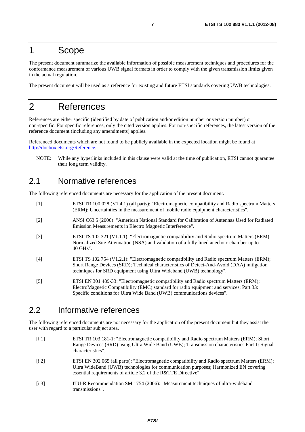# 1 Scope

The present document summarize the available information of possible measurement techniques and procedures for the conformance measurement of various UWB signal formats in order to comply with the given transmission limits given in the actual regulation.

The present document will be used as a reference for existing and future ETSI standards covering UWB technologies.

# 2 References

References are either specific (identified by date of publication and/or edition number or version number) or non-specific. For specific references, only the cited version applies. For non-specific references, the latest version of the reference document (including any amendments) applies.

Referenced documents which are not found to be publicly available in the expected location might be found at [http://docbox.etsi.org/Reference.](http://docbox.etsi.org/Reference)

NOTE: While any hyperlinks included in this clause were valid at the time of publication, ETSI cannot guarantee their long term validity.

# 2.1 Normative references

The following referenced documents are necessary for the application of the present document.

[1] ETSI TR 100 028 (V1.4.1) (all parts): "Electromagnetic compatibility and Radio spectrum Matters (ERM); Uncertainties in the measurement of mobile radio equipment characteristics". [2] ANSI C63.5 (2006): "American National Standard for Calibration of Antennas Used for Radiated Emission Measurements in Electro Magnetic Interference". [3] ETSI TS 102 321 (V1.1.1): "Electromagnetic compatibility and Radio spectrum Matters (ERM); Normalized Site Attenuation (NSA) and validation of a fully lined anechoic chamber up to 40 GHz". [4] ETSI TS 102 754 (V1.2.1): "Electromagnetic compatibility and Radio spectrum Matters (ERM); Short Range Devices (SRD); Technical characteristics of Detect-And-Avoid (DAA) mitigation techniques for SRD equipment using Ultra Wideband (UWB) technology". [5] ETSI EN 301 489-33: "Electromagnetic compatibility and Radio spectrum Matters (ERM); ElectroMagnetic Compatibility (EMC) standard for radio equipment and services; Part 33: Specific conditions for Ultra Wide Band (UWB) communications devices".

# 2.2 Informative references

The following referenced documents are not necessary for the application of the present document but they assist the user with regard to a particular subject area.

- [i.1] ETSI TR 103 181-1: "Electromagnetic compatibility and Radio spectrum Matters (ERM); Short Range Devices (SRD) using Ultra Wide Band (UWB); Transmission characteristics Part 1: Signal characteristics".
- [i.2] ETSI EN 302 065 (all parts): "Electromagnetic compatibility and Radio spectrum Matters (ERM); Ultra WideBand (UWB) technologies for communication purposes; Harmonized EN covering essential requirements of article 3.2 of the R&TTE Directive".
- [i.3] ITU-R Recommendation SM.1754 (2006): "Measurement techniques of ultra-wideband transmissions".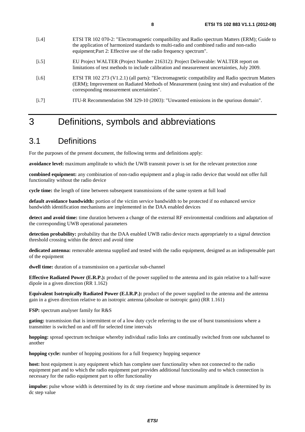- [i.5] EU Project WALTER (Project Number 216312): Project Deliverable: WALTER report on limitations of test methods to include calibration and measurement uncertainties, July 2009.
- [i.6] ETSI TR 102 273 (V1.2.1) (all parts): "Electromagnetic compatibility and Radio spectrum Matters (ERM); Improvement on Radiated Methods of Measurement (using test site) and evaluation of the corresponding measurement uncertainties".
- [i.7] ITU-R Recommendation SM 329-10 (2003): "Unwanted emissions in the spurious domain".

# 3 Definitions, symbols and abbreviations

# 3.1 Definitions

For the purposes of the present document, the following terms and definitions apply:

**avoidance level:** maximum amplitude to which the UWB transmit power is set for the relevant protection zone

**combined equipment:** any combination of non-radio equipment and a plug-in radio device that would not offer full functionality without the radio device

**cycle time:** the length of time between subsequent transmissions of the same system at full load

**default avoidance bandwidth:** portion of the victim service bandwidth to be protected if no enhanced service bandwidth identification mechanisms are implemented in the DAA enabled devices

**detect and avoid time:** time duration between a change of the external RF environmental conditions and adaptation of the corresponding UWB operational parameters

**detection probability:** probability that the DAA enabled UWB radio device reacts appropriately to a signal detection threshold crossing within the detect and avoid time

**dedicated antenna:** removable antenna supplied and tested with the radio equipment, designed as an indispensable part of the equipment

dwell time: duration of a transmission on a particular sub-channel

**Effective Radiated Power (E.R.P.):** product of the power supplied to the antenna and its gain relative to a half-wave dipole in a given direction (RR 1.162)

**Equivalent Isotropically Radiated Power (E.I.R.P.):** product of the power supplied to the antenna and the antenna gain in a given direction relative to an isotropic antenna (absolute or isotropic gain) (RR 1.161)

**FSP:** spectrum analyser family for R&S

**gating:** transmission that is intermittent or of a low duty cycle referring to the use of burst transmissions where a transmitter is switched on and off for selected time intervals

**hopping:** spread spectrum technique whereby individual radio links are continually switched from one subchannel to another

**hopping cycle:** number of hopping positions for a full frequency hopping sequence

**host:** host equipment is any equipment which has complete user functionality when not connected to the radio equipment part and to which the radio equipment part provides additional functionality and to which connection is necessary for the radio equipment part to offer functionality

**impulse:** pulse whose width is determined by its dc step risetime and whose maximum amplitude is determined by its dc step value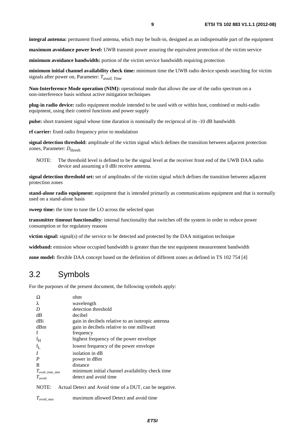**integral antenna:** permanent fixed antenna, which may be built-in, designed as an indispensable part of the equipment

**maximum avoidance power level:** UWB transmit power assuring the equivalent protection of the victim service

**minimum avoidance bandwidth:** portion of the victim service bandwidth requiring protection

**minimum initial channel availability check time:** minimum time the UWB radio device spends searching for victim signals after power on, Parameter: *Tavail, Time*

**Non-Interference Mode operation (NIM):** operational mode that allows the use of the radio spectrum on a non-interference basis without active mitigation techniques

**plug-in radio device:** radio equipment module intended to be used with or within host, combined or multi-radio equipment, using their control functions and power supply

**pulse:** short transient signal whose time duration is nominally the reciprocal of its -10 dB bandwidth

**rf carrier:** fixed radio frequency prior to modulation

**signal detection threshold:** amplitude of the victim signal which defines the transition between adjacent protection zones, Parameter:  $D_{\text{thresh}}$ 

NOTE: The threshold level is defined to be the signal level at the receiver front end of the UWB DAA radio device and assuming a 0 dBi receive antenna.

**signal detection threshold set:** set of amplitudes of the victim signal which defines the transition between adjacent protection zones

**stand-alone radio equipment:** equipment that is intended primarily as communications equipment and that is normally used on a stand-alone basis

**sweep time:** the time to tune the LO across the selected span

**transmitter timeout functionality**: internal functionality that switches off the system in order to reduce power consumption or for regulatory reasons

**victim signal:** signal(s) of the service to be detected and protected by the DAA mitigation technique

**wideband:** emission whose occupied bandwidth is greater than the test equipment measurement bandwidth

**zone model:** flexible DAA concept based on the definition of different zones as defined in TS 102 754 [4]

# 3.2 Symbols

For the purposes of the present document, the following symbols apply:

| Ω                             | ohm                                                     |
|-------------------------------|---------------------------------------------------------|
| λ                             | wavelength                                              |
| D                             | detection threshold                                     |
| dВ                            | decibel                                                 |
| dBi                           | gain in decibels relative to an isotropic antenna       |
| dBm                           | gain in decibels relative to one milliwatt              |
| f                             | frequency                                               |
| $f_H$                         | highest frequency of the power envelope                 |
| $f_L$                         | lowest frequency of the power envelope                  |
| $\boldsymbol{I}$              | isolation in dB                                         |
| $\boldsymbol{P}$              | power in dBm                                            |
| R                             | distance                                                |
| $T_{\text{avail\_time\_min}}$ | minimum initial channel availability check time         |
| $T_{\text{avoid}}$            | detect and avoid time                                   |
| NOTE:                         | Actual Detect and Avoid time of a DUT, can be negative. |
| $T_{\text{avoid\_max}}$       | maximum allowed Detect and avoid time                   |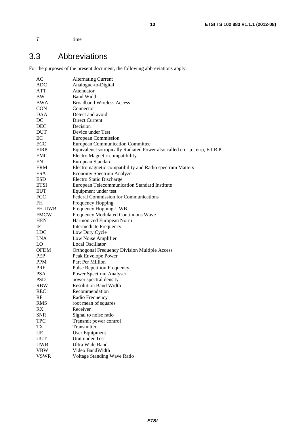*T* time

# 3.3 Abbreviations

For the purposes of the present document, the following abbreviations apply:

| AC            | <b>Alternating Current</b>                                                   |  |  |
|---------------|------------------------------------------------------------------------------|--|--|
| ADC           | Analogue-to-Digital                                                          |  |  |
| ATT           | Attenuator                                                                   |  |  |
| BW            | <b>Band Width</b>                                                            |  |  |
| BWA           | <b>Broadband Wireless Access</b>                                             |  |  |
| <b>CON</b>    | Connector                                                                    |  |  |
| DAA           | Detect and avoid                                                             |  |  |
| DC            | Direct Current                                                               |  |  |
| <b>DEC</b>    | Decision                                                                     |  |  |
| <b>DUT</b>    | Device under Test                                                            |  |  |
| EC            | European Commission                                                          |  |  |
| ECC           | <b>European Communication Committee</b>                                      |  |  |
| EIRP          | Equivalent Isotropically Radiated Power also called e.i.r.p., eirp, E.I.R.P. |  |  |
| EMC           | Electro Magnetic compatibility                                               |  |  |
| EN            | European Standard                                                            |  |  |
| ERM           | Electromagnetic compatibility and Radio spectrum Matters                     |  |  |
| ESA           | Economy Spectrum Analyzer                                                    |  |  |
| <b>ESD</b>    |                                                                              |  |  |
|               | Electro Static Discharge                                                     |  |  |
| <b>ETSI</b>   | European Telecommunication Standard Institute                                |  |  |
| <b>EUT</b>    | Equipment under test                                                         |  |  |
| <b>FCC</b>    | Federal Commission for Communications                                        |  |  |
| <b>FH</b>     | Frequency Hopping                                                            |  |  |
| <b>FH-UWB</b> | Frequency Hopping-UWB                                                        |  |  |
| <b>FMCW</b>   | Frequency Modulated Continuous Wave                                          |  |  |
| <b>HEN</b>    | Harmonized European Norm                                                     |  |  |
| IF            | <b>Intermediate Frequency</b>                                                |  |  |
| <b>LDC</b>    | Low Duty Cycle                                                               |  |  |
| <b>LNA</b>    | Low Noise Amplifier                                                          |  |  |
| LO.           | Local Oscillator                                                             |  |  |
| <b>OFDM</b>   | <b>Orthogonal Frequency Division Multiple Access</b>                         |  |  |
| <b>PEP</b>    | Peak Envelope Power                                                          |  |  |
| <b>PPM</b>    | Part Per Million                                                             |  |  |
| PRF           | <b>Pulse Repetition Frequency</b>                                            |  |  |
| <b>PSA</b>    | Power Spectrum Analyser                                                      |  |  |
| <b>PSD</b>    | power spectral density                                                       |  |  |
| <b>RBW</b>    | <b>Resolution Band Width</b>                                                 |  |  |
| <b>REC</b>    | Recommendation                                                               |  |  |
| RF            | Radio Frequency                                                              |  |  |
| RMS           | root mean of squares                                                         |  |  |
| RX            | Receiver                                                                     |  |  |
| <b>SNR</b>    | Signal to noise ratio                                                        |  |  |
| <b>TPC</b>    | Transmit power control                                                       |  |  |
| TX            | Transmitter                                                                  |  |  |
| UE            | <b>User Equipment</b>                                                        |  |  |
| <b>UUT</b>    | Unit under Test                                                              |  |  |
| <b>UWB</b>    | <b>Ultra Wide Band</b>                                                       |  |  |
| VBW           | Video BandWidth                                                              |  |  |
| VSWR          | Voltage Standing Wave Ratio                                                  |  |  |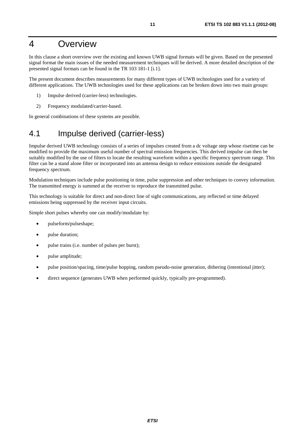# 4 Overview

In this clause a short overview over the existing and known UWB signal formats will be given. Based on the presented signal format the main issues of the needed measurement techniques will be derived. A more detailed description of the presented signal formats can be found in the TR 103 181-1 [i.1].

The present document describes measurements for many different types of UWB technologies used for a variety of different applications. The UWB technologies used for these applications can be broken down into two main groups:

- 1) Impulse derived (carrier-less) technologies.
- 2) Frequency modulated/carrier-based.

In general combinations of these systems are possible.

# 4.1 Impulse derived (carrier-less)

Impulse derived UWB technology consists of a series of impulses created from a dc voltage step whose risetime can be modified to provide the maximum useful number of spectral emission frequencies. This derived impulse can then be suitably modified by the use of filters to locate the resulting waveform within a specific frequency spectrum range. This filter can be a stand alone filter or incorporated into an antenna design to reduce emissions outside the designated frequency spectrum.

Modulation techniques include pulse positioning in time, pulse suppression and other techniques to convey information. The transmitted energy is summed at the receiver to reproduce the transmitted pulse.

This technology is suitable for direct and non-direct line of sight communications, any reflected or time delayed emissions being suppressed by the receiver input circuits.

Simple short pulses whereby one can modify/modulate by:

- pulseform/pulseshape;
- pulse duration;
- pulse trains (i.e. number of pulses per burst);
- pulse amplitude;
- pulse position/spacing, time/pulse hopping, random pseudo-noise generation, dithering (intentional jitter);
- direct sequence (generates UWB when performed quickly, typically pre-programmed).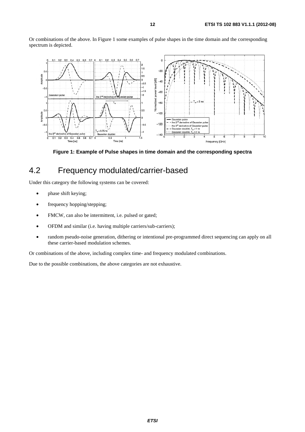Or combinations of the above. In Figure 1 some examples of pulse shapes in the time domain and the corresponding spectrum is depicted.



**Figure 1: Example of Pulse shapes in time domain and the corresponding spectra** 

# 4.2 Frequency modulated/carrier-based

Under this category the following systems can be covered:

- phase shift keying;
- frequency hopping/stepping;
- FMCW, can also be intermittent, i.e. pulsed or gated;
- OFDM and similar (i.e. having multiple carriers/sub-carriers);
- random pseudo-noise generation, dithering or intentional pre-programmed direct sequencing can apply on all these carrier-based modulation schemes.

Or combinations of the above, including complex time- and frequency modulated combinations.

Due to the possible combinations, the above categories are not exhaustive.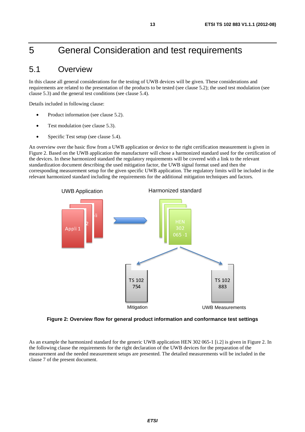# 5 General Consideration and test requirements

# 5.1 Overview

In this clause all general considerations for the testing of UWB devices will be given. These considerations and requirements are related to the presentation of the products to be tested (see clause 5.2); the used test modulation (see clause 5.3) and the general test conditions (see clause 5.4).

Details included in following clause:

- Product information (see clause 5.2).
- Test modulation (see clause 5.3).
- Specific Test setup (see clause 5.4).

An overview over the basic flow from a UWB application or device to the right certification measurement is given in Figure 2. Based on the UWB application the manufacturer will chose a harmonized standard used for the certification of the devices. In these harmonized standard the regulatory requirements will be covered with a link to the relevant standardization document describing the used mitigation factor, the UWB signal format used and then the corresponding measurement setup for the given specific UWB application. The regulatory limits will be included in the relevant harmonized standard including the requirements for the additional mitigation techniques and factors.



**Figure 2: Overview flow for general product information and conformance test settings** 

As an example the harmonized standard for the generic UWB application HEN 302 065-1 [i.2] is given in Figure 2. In the following clause the requirements for the right declaration of the UWB devices for the preparation of the measurement and the needed measurement setups are presented. The detailed measurements will be included in the clause 7 of the present document.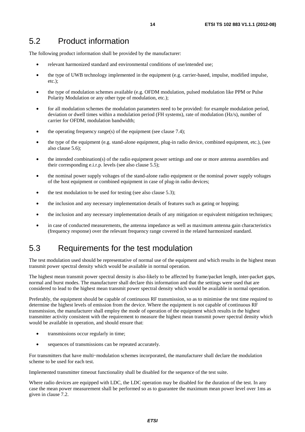# 5.2 Product information

The following product information shall be provided by the manufacturer:

- relevant harmonized standard and environmental conditions of use/intended use;
- the type of UWB technology implemented in the equipment (e.g. carrier-based, impulse, modified impulse, etc.);
- the type of modulation schemes available (e.g. OFDM modulation, pulsed modulation like PPM or Pulse Polarity Modulation or any other type of modulation, etc.);
- for all modulation schemes the modulation parameters need to be provided: for example modulation period, deviation or dwell times within a modulation period (FH systems), rate of modulation (Hz/s), number of carrier for OFDM, modulation bandwidth;
- the operating frequency range(s) of the equipment (see clause  $7.4$ );
- the type of the equipment (e.g. stand-alone equipment, plug-in radio device, combined equipment, etc.), (see also clause 5.6);
- the intended combination(s) of the radio equipment power settings and one or more antenna assemblies and their corresponding e.i.r.p. levels (see also clause 5.5);
- the nominal power supply voltages of the stand-alone radio equipment or the nominal power supply voltages of the host equipment or combined equipment in case of plug-in radio devices;
- the test modulation to be used for testing (see also clause 5.3);
- the inclusion and any necessary implementation details of features such as gating or hopping;
- the inclusion and any necessary implementation details of any mitigation or equivalent mitigation techniques;
- in case of conducted measurements, the antenna impedance as well as maximum antenna gain characteristics (frequency response) over the relevant frequency range covered in the related harmonized standard.

# 5.3 Requirements for the test modulation

The test modulation used should be representative of normal use of the equipment and which results in the highest mean transmit power spectral density which would be available in normal operation.

The highest mean transmit power spectral density is also-likely to be affected by frame/packet length, inter-packet gaps, normal and burst modes. The manufacturer shall declare this information and that the settings were used that are considered to lead to the highest mean transmit power spectral density which would be available in normal operation.

Preferably, the equipment should be capable of continuous RF transmission, so as to minimise the test time required to determine the highest levels of emission from the device. Where the equipment is not capable of continuous RF transmission, the manufacturer shall employ the mode of operation of the equipment which results in the highest transmitter activity consistent with the requirement to measure the highest mean transmit power spectral density which would be available in operation, and should ensure that:

- transmissions occur regularly in time;
- sequences of transmissions can be repeated accurately.

For transmitters that have multi-modulation schemes incorporated, the manufacturer shall declare the modulation<br>scheme to be used for each test.<br>Implemented transmitter timeout functionality shall be disabled for the seque scheme to be used for each test.

Implemented transmitter timeout functionality shall be disabled for the sequence of the test suite.

Where radio devices are equipped with LDC, the LDC operation may be disabled for the duration of the test. In any case the mean power measurement shall be performed so as to guarantee the maximum mean power level over 1ms as given in clause 7.2.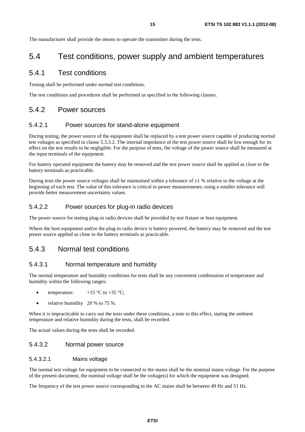The manufacturer shall provide the means to operate the transmitter during the tests.

# 5.4 Test conditions, power supply and ambient temperatures

### 5.4.1 Test conditions

Testing shall be performed under normal test conditions.

The test conditions and procedures shall be performed as specified in the following clauses.

### 5.4.2 Power sources

#### 5.4.2.1 Power sources for stand-alone equipment

During testing, the power source of the equipment shall be replaced by a test power source capable of producing normal test voltages as specified in clause 5.3.3.2. The internal impedance of the test power source shall be low enough for its effect on the test results to be negligible. For the purpose of tests, the voltage of the power source shall be measured at the input terminals of the equipment.

For battery operated equipment the battery may be removed and the test power source shall be applied as close to the battery terminals as practicable.

During tests the power source voltages shall be maintained within a tolerance of  $\pm 1$  % relative to the voltage at the beginning of each test. The value of this tolerance is critical to power measurements; using a smaller tolerance will provide better measurement uncertainty values.

### 5.4.2.2 Power sources for plug-in radio devices

The power source for testing plug-in radio devices shall be provided by test fixture or host equipment.

Where the host equipment and/or the plug-in radio device is battery powered, the battery may be removed and the test power source applied as close to the battery terminals as practicable.

### 5.4.3 Normal test conditions

### 5.4.3.1 Normal temperature and humidity

The normal temperature and humidity conditions for tests shall be any convenient combination of temperature and humidity within the following ranges:

- temperature:  $+15\degree C$  to  $+35\degree C$ ;
- relative humidity  $20 %$  to 75 %.

When it is impracticable to carry out the tests under these conditions, a note to this effect, stating the ambient temperature and relative humidity during the tests, shall be recorded.

The actual values during the tests shall be recorded.

#### 5.4.3.2 Normal power source

#### 5.4.3.2.1 Mains voltage

The normal test voltage for equipment to be connected to the mains shall be the nominal mains voltage. For the purpose of the present document, the nominal voltage shall be the voltage(s) for which the equipment was designed.

The frequency of the test power source corresponding to the AC mains shall be between 49 Hz and 51 Hz.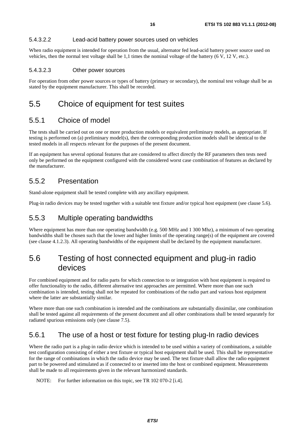#### 5.4.3.2.2 Lead-acid battery power sources used on vehicles

When radio equipment is intended for operation from the usual, alternator fed lead-acid battery power source used on vehicles, then the normal test voltage shall be 1,1 times the nominal voltage of the battery (6 V, 12 V, etc.).

#### 5.4.3.2.3 Other power sources

For operation from other power sources or types of battery (primary or secondary), the nominal test voltage shall be as stated by the equipment manufacturer. This shall be recorded.

# 5.5 Choice of equipment for test suites

### 5.5.1 Choice of model

The tests shall be carried out on one or more production models or equivalent preliminary models, as appropriate. If testing is performed on (a) preliminary model(s), then the corresponding production models shall be identical to the tested models in all respects relevant for the purposes of the present document.

If an equipment has several optional features that are considered to affect directly the RF parameters then tests need only be performed on the equipment configured with the considered worst case combination of features as declared by the manufacturer.

### 5.5.2 Presentation

Stand-alone equipment shall be tested complete with any ancillary equipment.

Plug-in radio devices may be tested together with a suitable test fixture and/or typical host equipment (see clause 5.6).

### 5.5.3 Multiple operating bandwidths

Where equipment has more than one operating bandwidth (e.g. 500 MHz and 1 300 Mhz), a minimum of two operating bandwidths shall be chosen such that the lower and higher limits of the operating range(s) of the equipment are covered (see clause 4.1.2.3). All operating bandwidths of the equipment shall be declared by the equipment manufacturer.

# 5.6 Testing of host connected equipment and plug-in radio devices

For combined equipment and for radio parts for which connection to or integration with host equipment is required to offer functionality to the radio, different alternative test approaches are permitted. Where more than one such combination is intended, testing shall not be repeated for combinations of the radio part and various host equipment where the latter are substantially similar.

Where more than one such combination is intended and the combinations are substantially dissimilar, one combination shall be tested against all requirements of the present document and all other combinations shall be tested separately for radiated spurious emissions only (see clause 7.5).

### 5.6.1 The use of a host or test fixture for testing plug-In radio devices

Where the radio part is a plug-in radio device which is intended to be used within a variety of combinations, a suitable test configuration consisting of either a test fixture or typical host equipment shall be used. This shall be representative for the range of combinations in which the radio device may be used. The test fixture shall allow the radio equipment part to be powered and stimulated as if connected to or inserted into the host or combined equipment. Measurements shall be made to all requirements given in the relevant harmonized standards.

NOTE: For further information on this topic, see TR 102 070-2 [i.4].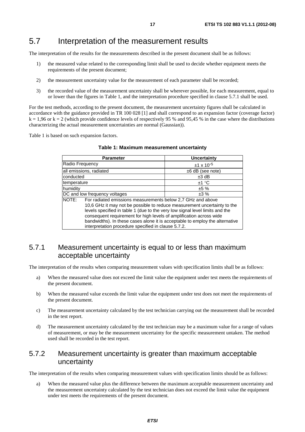# 5.7 Interpretation of the measurement results

The interpretation of the results for the measurements described in the present document shall be as follows:

- 1) the measured value related to the corresponding limit shall be used to decide whether equipment meets the requirements of the present document;
- 2) the measurement uncertainty value for the measurement of each parameter shall be recorded;
- 3) the recorded value of the measurement uncertainty shall be wherever possible, for each measurement, equal to or lower than the figures in Table 1, and the interpretation procedure specified in clause 5.7.1 shall be used.

For the test methods, according to the present document, the measurement uncertainty figures shall be calculated in accordance with the guidance provided in TR 100 028 [1] and shall correspond to an expansion factor (coverage factor)  $k = 1,96$  or  $k = 2$  (which provide confidence levels of respectively 95 % and 95,45 % in the case where the distributions characterizing the actual measurement uncertainties are normal (Gaussian)).

Table 1 is based on such expansion factors.

| <b>Parameter</b>                                                                                                                                                                                                                                                                                                                                                                                                                            | Uncertainty           |  |
|---------------------------------------------------------------------------------------------------------------------------------------------------------------------------------------------------------------------------------------------------------------------------------------------------------------------------------------------------------------------------------------------------------------------------------------------|-----------------------|--|
| Radio Frequency                                                                                                                                                                                                                                                                                                                                                                                                                             | $±1 \times 10^{-5}$   |  |
| all emissions, radiated                                                                                                                                                                                                                                                                                                                                                                                                                     | $\pm 6$ dB (see note) |  |
| conducted                                                                                                                                                                                                                                                                                                                                                                                                                                   | $±3$ dB               |  |
| temperature                                                                                                                                                                                                                                                                                                                                                                                                                                 | ±1 °C                 |  |
| humidity                                                                                                                                                                                                                                                                                                                                                                                                                                    | ±5%                   |  |
| DC and low frequency voltages<br>±3%                                                                                                                                                                                                                                                                                                                                                                                                        |                       |  |
| NOTE: For radiated emissions measurements below 2,7 GHz and above<br>10,6 GHz it may not be possible to reduce measurement uncertainty to the<br>levels specified in table 1 (due to the very low signal level limits and the<br>consequent requirement for high levels of amplification across wide<br>bandwidths). In these cases alone it is acceptable to employ the alternative<br>interpretation procedure specified in clause 5.7.2. |                       |  |

|  |  |  | Table 1: Maximum measurement uncertainty |  |
|--|--|--|------------------------------------------|--|
|--|--|--|------------------------------------------|--|

# 5.7.1 Measurement uncertainty is equal to or less than maximum acceptable uncertainty

The interpretation of the results when comparing measurement values with specification limits shall be as follows:

- a) When the measured value does not exceed the limit value the equipment under test meets the requirements of the present document.
- b) When the measured value exceeds the limit value the equipment under test does not meet the requirements of the present document.
- c) The measurement uncertainty calculated by the test technician carrying out the measurement shall be recorded in the test report.
- d) The measurement uncertainty calculated by the test technician may be a maximum value for a range of values of measurement, or may be the measurement uncertainty for the specific measurement untaken. The method used shall be recorded in the test report.

### 5.7.2 Measurement uncertainty is greater than maximum acceptable uncertainty

The interpretation of the results when comparing measurement values with specification limits should be as follows:

a) When the measured value plus the difference between the maximum acceptable measurement uncertainty and the measurement uncertainty calculated by the test technician does not exceed the limit value the equipment under test meets the requirements of the present document.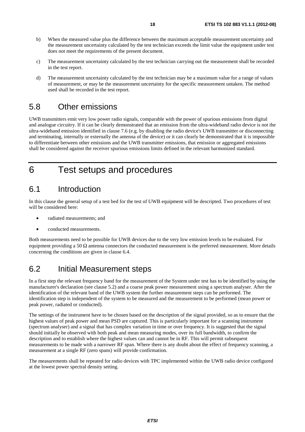- b) When the measured value plus the difference between the maximum acceptable measurement uncertainty and the measurement uncertainty calculated by the test technician exceeds the limit value the equipment under test does not meet the requirements of the present document.
- c) The measurement uncertainty calculated by the test technician carrying out the measurement shall be recorded in the test report.
- d) The measurement uncertainty calculated by the test technician may be a maximum value for a range of values of measurement, or may be the measurement uncertainty for the specific measurement untaken. The method used shall be recorded in the test report.

# 5.8 Other emissions

UWB transmitters emit very low power radio signals, comparable with the power of spurious emissions from digital and analogue circuitry. If it can be clearly demonstrated that an emission from the ultra-wideband radio device is not the ultra-wideband emission identified in clause 7.6 (e.g. by disabling the radio device's UWB transmitter or disconnecting and terminating, internally or externally the antenna of the device) or it can clearly be demonstrated that it is impossible to differentiate between other emissions and the UWB transmitter emissions, that emission or aggregated emissions shall be considered against the receiver spurious emissions limits defined in the relevant harmonized standard.

6 Test setups and procedures

# 6.1 Introduction

In this clause the general setup of a test bed for the test of UWB equipment will be descripted. Two procedures of test will be considered here:

- radiated measurements; and
- conducted measurements.

Both measurements need to be possible for UWB devices due to the very low emission levels to be evaluated. For equipment providing a 50  $\Omega$  antenna connectors the conducted measurement is the preferred measurement. More details concerning the conditions are given in clause 6.4.

# 6.2 Initial Measurement steps

In a first step the relevant frequency band for the measurement of the System under test has to be identified by using the manufacturer's declaration (see clause 5.2) and a coarse peak power measurement using a spectrum analyser. After the identification of the relevant band of the UWB system the further measurement steps can be performed. The identification step is independent of the system to be measured and the measurement to be performed (mean power or peak power, radiated or conducted).

The settings of the instrument have to be chosen based on the description of the signal provided, so as to ensure that the highest values of peak power and mean PSD are captured. This is particularly important for a scanning instrument (spectrum analyser) and a signal that has complex variation in time or over frequency. It is suggested that the signal should initially be observed with both peak and mean measuring modes, over its full bandwidth, to confirm the description and to establish where the highest values can and cannot be in RF. This will permit subsequent measurements to be made with a narrower RF span. Where there is any doubt about the effect of frequency scanning, a measurement at a single RF (zero spans) will provide confirmation.

The measurements shall be repeated for radio devices with TPC implemented within the UWB radio device configured at the lowest power spectral density setting.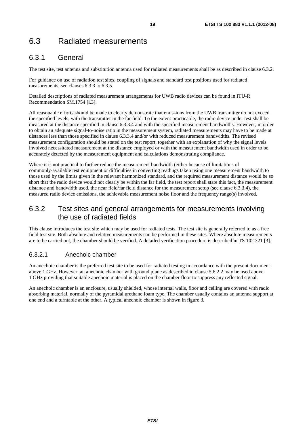# 6.3 Radiated measurements

# 6.3.1 General

The test site, test antenna and substitution antenna used for radiated measurements shall be as described in clause 6.3.2.

For guidance on use of radiation test sites, coupling of signals and standard test positions used for radiated measurements, see clauses 6.3.3 to 6.3.5.

Detailed descriptions of radiated measurement arrangements for UWB radio devices can be found in ITU-R Recommendation SM.1754 [i.3].

All reasonable efforts should be made to clearly demonstrate that emissions from the UWB transmitter do not exceed the specified levels, with the transmitter in the far field. To the extent practicable, the radio device under test shall be measured at the distance specified in clause 6.3.3.4 and with the specified measurement bandwidths. However, in order to obtain an adequate signal-to-noise ratio in the measurement system, radiated measurements may have to be made at distances less than those specified in clause 6.3.3.4 and/or with reduced measurement bandwidths. The revised measurement configuration should be stated on the test report, together with an explanation of why the signal levels involved necessitated measurement at the distance employed or with the measurement bandwidth used in order to be accurately detected by the measurement equipment and calculations demonstrating compliance.

Where it is not practical to further reduce the measurement bandwidth (either because of limitations of commonly-available test equipment or difficulties in converting readings taken using one measurement bandwidth to those used by the limits given in the relevant harmonized standard, and the required measurement distance would be so short that the radio device would not clearly be within the far field, the test report shall state this fact, the measurement distance and bandwidth used, the near field/far field distance for the measurement setup (see clause 6.3.3.4), the measured radio device emissions, the achievable measurement noise floor and the frequency range(s) involved.

# 6.3.2 Test sites and general arrangements for measurements involving the use of radiated fields

This clause introduces the test site which may be used for radiated tests. The test site is generally referred to as a free field test site. Both absolute and relative measurements can be performed in these sites. Where absolute measurements are to be carried out, the chamber should be verified. A detailed verification procedure is described in TS 102 321 [3].

### 6.3.2.1 Anechoic chamber

An anechoic chamber is the preferred test site to be used for radiated testing in accordance with the present document above 1 GHz. However, an anechoic chamber with ground plane as described in clause 5.6.2.2 may be used above 1 GHz providing that suitable anechoic material is placed on the chamber floor to suppress any reflected signal.

An anechoic chamber is an enclosure, usually shielded, whose internal walls, floor and ceiling are covered with radio absorbing material, normally of the pyramidal urethane foam type. The chamber usually contains an antenna support at one end and a turntable at the other. A typical anechoic chamber is shown in figure 3.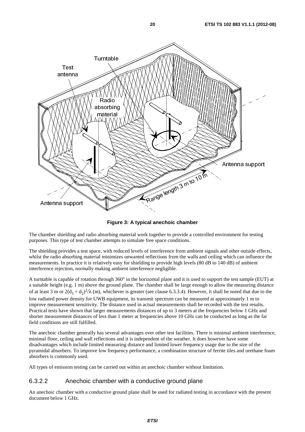

**Figure 3: A typical anechoic chamber** 

The chamber shielding and radio absorbing material work together to provide a controlled environment for testing purposes. This type of test chamber attempts to simulate free space conditions.

The shielding provides a test space, with reduced levels of interference from ambient signals and other outside effects, whilst the radio absorbing material minimizes unwanted reflections from the walls and ceiling which can influence the measurements. In practice it is relatively easy for shielding to provide high levels (80 dB to 140 dB) of ambient interference rejection, normally making ambient interference negligible.

**Example length 3 m to 10**<br> **Range length 3 m to 10**<br> **Range length 3 m to 10**<br> **Range length 3 m to 10**<br> **Range length 3 m to 10**<br> **Range length is and a**<br> **Example 10**<br> **Range is and a**<br> **Range is and a**<br> **Range is and** A turntable is capable of rotation through  $360^\circ$  in the horizontal plane and it is used to support the test sample (EUT) at a suitable height (e.g. 1 m) above the ground plane. The chamber shall be large enough to allow the measuring distance of at least 3 m or  $2(d_1 + d_2)^2/\lambda$  (m), whichever is greater (see clause 6.3.3.4). However, it shall be noted that due to the low radiated power density for UWB equipment, its transmit spectrum can be measured at approximately 1 m to improve measurement sensitivity. The distance used in actual measurements shall be recorded with the test results. Practical tests have shown that larger measurements distances of up to 3 meters at the frequencies below 1 GHz and shorter measurement distances of less than 1 meter at frequencies above 10 GHz can be conducted as long as the far field conditions are still fulfilled.

The anechoic chamber generally has several advantages over other test facilities. There is minimal ambient interference, minimal floor, ceiling and wall reflections and it is independent of the weather. It does however have some disadvantages which include limited measuring distance and limited lower frequency usage due to the size of the pyramidal absorbers. To improve low frequency performance, a combination structure of ferrite tiles and urethane foam absorbers is commonly used.

All types of emission testing can be carried out within an anechoic chamber without limitation.

### 6.3.2.2 Anechoic chamber with a conductive ground plane

An anechoic chamber with a conductive ground plane shall be used for radiated testing in accordance with the present document below 1 GHz.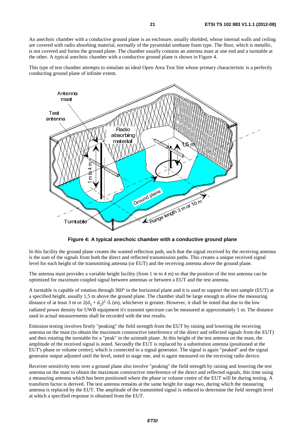An anechoic chamber with a conductive ground plane is an enclosure, usually shielded, whose internal walls and ceiling are covered with radio absorbing material, normally of the pyramidal urethane foam type. The floor, which is metallic, is not covered and forms the ground plane. The chamber usually contains an antenna mast at one end and a turntable at the other. A typical anechoic chamber with a conductive ground plane is shown in Figure 4.

This type of test chamber attempts to simulate an ideal Open Area Test Site whose primary characteristic is a perfectly conducting ground plane of infinite extent.



**Figure 4: A typical anechoic chamber with a conductive ground plane** 

In this facility the ground plane creates the wanted reflection path, such that the signal received by the receiving antenna is the sum of the signals from both the direct and reflected transmission paths. This creates a unique received signal level for each height of the transmitting antenna (or EUT) and the receiving antenna above the ground plane.

The antenna mast provides a variable height facility (from 1 m to 4 m) so that the position of the test antenna can be optimized for maximum coupled signal between antennas or between a EUT and the test antenna.

A turntable is capable of rotation through 360° in the horizontal plane and it is used to support the test sample (EUT) at a specified height, usually 1,5 m above the ground plane. The chamber shall be large enough to allow the measuring distance of at least 3 m or  $2(d_1 + d_2)^2 / \lambda$  (m), whichever is greater. However, it shall be noted that due to the low radiated power density for UWB equipment it's transmit spectrum can be measured at approximately 1 m. The distance used in actual measurements shall be recorded with the test results.

Emission testing involves firstly "peaking" the field strength from the EUT by raising and lowering the receiving antenna on the mast (to obtain the maximum constructive interference of the direct and reflected signals from the EUT) and then rotating the turntable for a "peak" in the azimuth plane. At this height of the test antenna on the mast, the amplitude of the received signal is noted. Secondly the EUT is replaced by a substitution antenna (positioned at the EUT's phase or volume centre), which is connected to a signal generator. The signal is again "peaked" and the signal generator output adjusted until the level, noted in stage one, and is again measured on the receiving radio device.

Receiver sensitivity tests over a ground plane also involve "peaking" the field strength by raising and lowering the test antenna on the mast to obtain the maximum constructive interference of the direct and reflected signals, this time using a measuring antenna which has been positioned where the phase or volume centre of the EUT will be during testing. A transform factor is derived. The test antenna remains at the same height for stage two, during which the measuring antenna is replaced by the EUT. The amplitude of the transmitted signal is reduced to determine the field strength level at which a specified response is obtained from the EUT.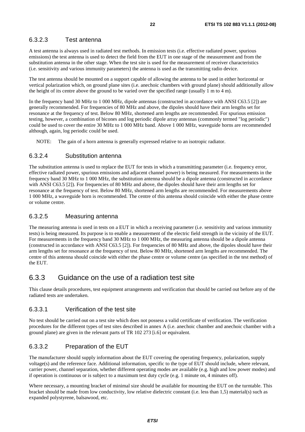### 6.3.2.3 Test antenna

A test antenna is always used in radiated test methods. In emission tests (i.e. effective radiated power, spurious emissions) the test antenna is used to detect the field from the EUT in one stage of the measurement and from the substitution antenna in the other stage. When the test site is used for the measurement of receiver characteristics (i.e. sensitivity and various immunity parameters) the antenna is used as the transmitting radio device.

The test antenna should be mounted on a support capable of allowing the antenna to be used in either horizontal or vertical polarization which, on ground plane sites (i.e. anechoic chambers with ground plane) should additionally allow the height of its centre above the ground to be varied over the specified range (usually 1 m to 4 m).

In the frequency band 30 MHz to 1 000 MHz, dipole antennas (constructed in accordance with ANSI C63.5 [2]) are generally recommended. For frequencies of 80 MHz and above, the dipoles should have their arm lengths set for resonance at the frequency of test. Below 80 MHz, shortened arm lengths are recommended. For spurious emission testing, however, a combination of bicones and log periodic dipole array antennas (commonly termed "log periodic") could be used to cover the entire 30 MHz to 1 000 MHz band. Above 1 000 MHz, waveguide horns are recommended although, again, log periodic could be used.

NOTE: The gain of a horn antenna is generally expressed relative to an isotropic radiator.

### 6.3.2.4 Substitution antenna

The substitution antenna is used to replace the EUT for tests in which a transmitting parameter (i.e. frequency error, effective radiated power, spurious emissions and adjacent channel power) is being measured. For measurements in the frequency band 30 MHz to 1 000 MHz, the substitution antenna should be a dipole antenna (constructed in accordance with ANSI C63.5 [2]). For frequencies of 80 MHz and above, the dipoles should have their arm lengths set for resonance at the frequency of test. Below 80 MHz, shortened arm lengths are recommended. For measurements above 1 000 MHz, a waveguide horn is recommended. The centre of this antenna should coincide with either the phase centre or volume centre.

### 6.3.2.5 Measuring antenna

The measuring antenna is used in tests on a EUT in which a receiving parameter (i.e. sensitivity and various immunity tests) is being measured. Its purpose is to enable a measurement of the electric field strength in the vicinity of the EUT. For measurements in the frequency band 30 MHz to 1 000 MHz, the measuring antenna should be a dipole antenna (constructed in accordance with ANSI C63.5 [2]). For frequencies of 80 MHz and above, the dipoles should have their arm lengths set for resonance at the frequency of test. Below 80 MHz, shortened arm lengths are recommended. The centre of this antenna should coincide with either the phase centre or volume centre (as specified in the test method) of the EUT.

# 6.3.3 Guidance on the use of a radiation test site

This clause details procedures, test equipment arrangements and verification that should be carried out before any of the radiated tests are undertaken.

### 6.3.3.1 Verification of the test site

No test should be carried out on a test site which does not possess a valid certificate of verification. The verification procedures for the different types of test sites described in annex A (i.e. anechoic chamber and anechoic chamber with a ground plane) are given in the relevant parts of TR 102 273 [i.6] or equivalent.

### 6.3.3.2 Preparation of the EUT

The manufacturer should supply information about the EUT covering the operating frequency, polarization, supply voltage(s) and the reference face. Additional information, specific to the type of EUT should include, where relevant, carrier power, channel separation, whether different operating modes are available (e.g. high and low power modes) and if operation is continuous or is subject to a maximum test duty cycle (e.g. 1 minute on, 4 minutes off).

Where necessary, a mounting bracket of minimal size should be available for mounting the EUT on the turntable. This bracket should be made from low conductivity, low relative dielectric constant (i.e. less than 1,5) material(s) such as expanded polystyrene, balsawood, etc.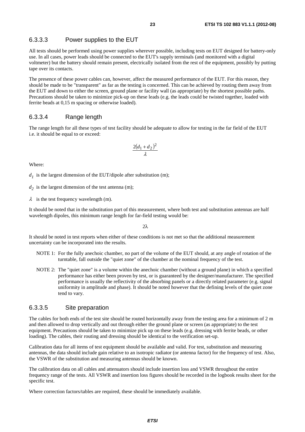#### 6.3.3.3 Power supplies to the EUT

All tests should be performed using power supplies wherever possible, including tests on EUT designed for battery-only use. In all cases, power leads should be connected to the EUT's supply terminals (and monitored with a digital voltmeter) but the battery should remain present, electrically isolated from the rest of the equipment, possibly by putting tape over its contacts.

The presence of these power cables can, however, affect the measured performance of the EUT. For this reason, they should be made to be "transparent" as far as the testing is concerned. This can be achieved by routing them away from the EUT and down to either the screen, ground plane or facility wall (as appropriate) by the shortest possible paths. Precautions should be taken to minimize pick-up on these leads (e.g. the leads could be twisted together, loaded with ferrite beads at 0,15 m spacing or otherwise loaded).

#### 6.3.3.4 Range length

The range length for all these types of test facility should be adequate to allow for testing in the far field of the EUT i.e. it should be equal to or exceed:

$$
\frac{2(d_1+d_2)^2}{\lambda}
$$

Where:

 $d_1$  is the largest dimension of the EUT/dipole after substitution (m);

 $d_2$  is the largest dimension of the test antenna (m);

 $\lambda$  is the test frequency wavelength (m).

It should be noted that in the substitution part of this measurement, where both test and substitution antennas are half wavelength dipoles, this minimum range length for far-field testing would be:

 $2λ$ 

It should be noted in test reports when either of these conditions is not met so that the additional measurement uncertainty can be incorporated into the results.

- NOTE 1: For the fully anechoic chamber, no part of the volume of the EUT should, at any angle of rotation of the turntable, fall outside the "quiet zone" of the chamber at the nominal frequency of the test.
- NOTE 2: The "quiet zone" is a volume within the anechoic chamber (without a ground plane) in which a specified performance has either been proven by test, or is guaranteed by the designer/manufacturer. The specified performance is usually the reflectivity of the absorbing panels or a directly related parameter (e.g. signal uniformity in amplitude and phase). It should be noted however that the defining levels of the quiet zone tend to vary.

#### 6.3.3.5 Site preparation

The cables for both ends of the test site should be routed horizontally away from the testing area for a minimum of 2 m and then allowed to drop vertically and out through either the ground plane or screen (as appropriate) to the test equipment. Precautions should be taken to minimize pick up on these leads (e.g. dressing with ferrite beads, or other loading). The cables, their routing and dressing should be identical to the verification set-up.

Calibration data for all items of test equipment should be available and valid. For test, substitution and measuring antennas, the data should include gain relative to an isotropic radiator (or antenna factor) for the frequency of test. Also, the VSWR of the substitution and measuring antennas should be known.

The calibration data on all cables and attenuators should include insertion loss and VSWR throughout the entire frequency range of the tests. All VSWR and insertion loss figures should be recorded in the logbook results sheet for the specific test.

Where correction factors/tables are required, these should be immediately available.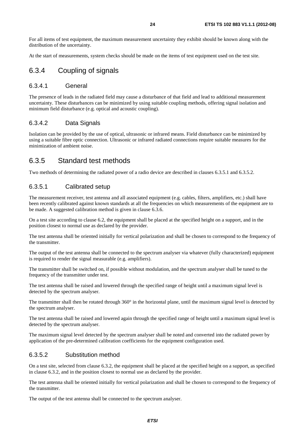For all items of test equipment, the maximum measurement uncertainty they exhibit should be known along with the distribution of the uncertainty.

At the start of measurements, system checks should be made on the items of test equipment used on the test site.

### 6.3.4 Coupling of signals

#### 6.3.4.1 General

The presence of leads in the radiated field may cause a disturbance of that field and lead to additional measurement uncertainty. These disturbances can be minimized by using suitable coupling methods, offering signal isolation and minimum field disturbance (e.g. optical and acoustic coupling).

### 6.3.4.2 Data Signals

Isolation can be provided by the use of optical, ultrasonic or infrared means. Field disturbance can be minimized by using a suitable fibre optic connection. Ultrasonic or infrared radiated connections require suitable measures for the minimization of ambient noise.

### 6.3.5 Standard test methods

Two methods of determining the radiated power of a radio device are described in clauses 6.3.5.1 and 6.3.5.2.

### 6.3.5.1 Calibrated setup

The measurement receiver, test antenna and all associated equipment (e.g. cables, filters, amplifiers, etc.) shall have been recently calibrated against known standards at all the frequencies on which measurements of the equipment are to be made. A suggested calibration method is given in clause 6.3.6.

On a test site according to clause 6.2, the equipment shall be placed at the specified height on a support, and in the position closest to normal use as declared by the provider.

The test antenna shall be oriented initially for vertical polarization and shall be chosen to correspond to the frequency of the transmitter.

The output of the test antenna shall be connected to the spectrum analyser via whatever (fully characterized) equipment is required to render the signal measurable (e.g. amplifiers).

The transmitter shall be switched on, if possible without modulation, and the spectrum analyser shall be tuned to the frequency of the transmitter under test.

The test antenna shall be raised and lowered through the specified range of height until a maximum signal level is detected by the spectrum analyser.

The transmitter shall then be rotated through 360° in the horizontal plane, until the maximum signal level is detected by the spectrum analyser.

The test antenna shall be raised and lowered again through the specified range of height until a maximum signal level is detected by the spectrum analyser.

The maximum signal level detected by the spectrum analyser shall be noted and converted into the radiated power by application of the pre-determined calibration coefficients for the equipment configuration used.

### 6.3.5.2 Substitution method

On a test site, selected from clause 6.3.2, the equipment shall be placed at the specified height on a support, as specified in clause 6.3.2, and in the position closest to normal use as declared by the provider.

The test antenna shall be oriented initially for vertical polarization and shall be chosen to correspond to the frequency of the transmitter.

The output of the test antenna shall be connected to the spectrum analyser.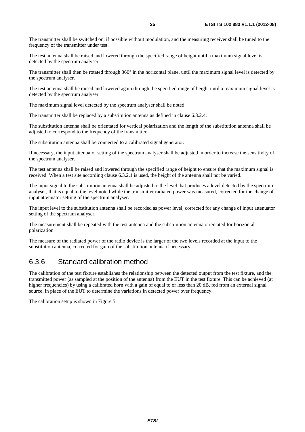The transmitter shall be switched on, if possible without modulation, and the measuring receiver shall be tuned to the frequency of the transmitter under test.

The test antenna shall be raised and lowered through the specified range of height until a maximum signal level is detected by the spectrum analyser.

The transmitter shall then be rotated through  $360^\circ$  in the horizontal plane, until the maximum signal level is detected by the spectrum analyser.

The test antenna shall be raised and lowered again through the specified range of height until a maximum signal level is detected by the spectrum analyser.

The maximum signal level detected by the spectrum analyser shall be noted.

The transmitter shall be replaced by a substitution antenna as defined in clause 6.3.2.4.

The substitution antenna shall be orientated for vertical polarization and the length of the substitution antenna shall be adjusted to correspond to the frequency of the transmitter.

The substitution antenna shall be connected to a calibrated signal generator.

If necessary, the input attenuator setting of the spectrum analyser shall be adjusted in order to increase the sensitivity of the spectrum analyser.

The test antenna shall be raised and lowered through the specified range of height to ensure that the maximum signal is received. When a test site according clause 6.3.2.1 is used, the height of the antenna shall not be varied.

The input signal to the substitution antenna shall be adjusted to the level that produces a level detected by the spectrum analyser, that is equal to the level noted while the transmitter radiated power was measured, corrected for the change of input attenuator setting of the spectrum analyser.

The input level to the substitution antenna shall be recorded as power level, corrected for any change of input attenuator setting of the spectrum analyser.

The measurement shall be repeated with the test antenna and the substitution antenna orientated for horizontal polarization.

The measure of the radiated power of the radio device is the larger of the two levels recorded at the input to the substitution antenna, corrected for gain of the substitution antenna if necessary.

### 6.3.6 Standard calibration method

The calibration of the test fixture establishes the relationship between the detected output from the test fixture, and the transmitted power (as sampled at the position of the antenna) from the EUT in the test fixture. This can be achieved (at higher frequencies) by using a calibrated horn with a gain of equal to or less than 20 dB, fed from an external signal source, in place of the EUT to determine the variations in detected power over frequency.

The calibration setup is shown in Figure 5.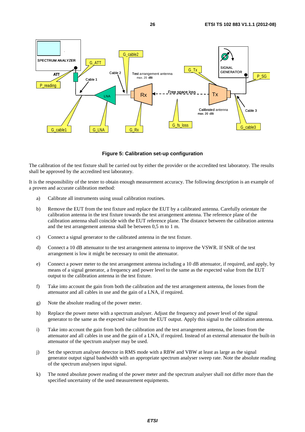

**Figure 5: Calibration set-up configuration** 

The calibration of the test fixture shall be carried out by either the provider or the accredited test laboratory. The results shall be approved by the accredited test laboratory.

It is the responsibility of the tester to obtain enough measurement accuracy. The following description is an example of a proven and accurate calibration method:

- a) Calibrate all instruments using usual calibration routines.
- b) Remove the EUT from the test fixture and replace the EUT by a calibrated antenna. Carefully orientate the calibration antenna in the test fixture towards the test arrangement antenna. The reference plane of the calibration antenna shall coincide with the EUT reference plane. The distance between the calibration antenna and the test arrangement antenna shall be between 0,5 m to 1 m.
- c) Connect a signal generator to the calibrated antenna in the test fixture.
- d) Connect a 10 dB attenuator to the test arrangement antenna to improve the VSWR. If SNR of the test arrangement is low it might be necessary to omit the attenuator.
- e) Connect a power meter to the test arrangement antenna including a 10 dB attenuator, if required, and apply, by means of a signal generator, a frequency and power level to the same as the expected value from the EUT output to the calibration antenna in the test fixture.
- f) Take into account the gain from both the calibration and the test arrangement antenna, the losses from the attenuator and all cables in use and the gain of a LNA, if required.
- g) Note the absolute reading of the power meter.
- h) Replace the power meter with a spectrum analyser. Adjust the frequency and power level of the signal generator to the same as the expected value from the EUT output. Apply this signal to the calibration antenna.
- i) Take into account the gain from both the calibration and the test arrangement antenna, the losses from the attenuator and all cables in use and the gain of a LNA, if required. Instead of an external attenuator the built-in attenuator of the spectrum analyser may be used.
- j) Set the spectrum analyser detector in RMS mode with a RBW and VBW at least as large as the signal generator output signal bandwidth with an appropriate spectrum analyser sweep rate. Note the absolute reading of the spectrum analysers input signal.
- k) The noted absolute power reading of the power meter and the spectrum analyser shall not differ more than the specified uncertainty of the used measurement equipments.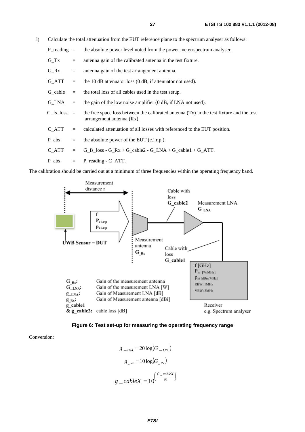l) Calculate the total attenuation from the EUT reference plane to the spectrum analyser as follows:

| P reading $=$ |            | the absolute power level noted from the power meter/spectrum analyser.                                                                 |  |
|---------------|------------|----------------------------------------------------------------------------------------------------------------------------------------|--|
| $G_Tx$        | $=$        | antenna gain of the calibrated antenna in the test fixture.                                                                            |  |
| $G_Rx$        | $=$        | antenna gain of the test arrangement antenna.                                                                                          |  |
| G_ATT         | $\equiv$ . | the 10 dB attenuator loss (0 dB, if attenuator not used).                                                                              |  |
| G_cable       | $=$        | the total loss of all cables used in the test setup.                                                                                   |  |
| $G$ LNA $=$   |            | the gain of the low noise amplifier (0 dB, if LNA not used).                                                                           |  |
|               |            | $G_{fs}\$ loss = the free space loss between the calibrated antenna (Tx) in the test fixture and the test<br>arrangement antenna (Rx). |  |
| $C_{ATT}$     | $=$        | calculated attenuation of all losses with referenced to the EUT position.                                                              |  |
| P_abs         | $=$        | the absolute power of the EUT (e.i.r.p.).                                                                                              |  |
| C ATT         | $=$        | $G_f s_loss - G_R x + G_cable2 - G_LNA + G_cable1 + G_ATT$ .                                                                           |  |
| $P$ abs $=$   |            | P_reading - C_ATT.                                                                                                                     |  |

The calibration should be carried out at a minimum of three frequencies within the operating frequency band.





Conversion:

$$
g_{-LNA} = 20 \log(G_{-LNA})
$$

$$
g_{-Rx} = 10 \log(G_{-Rx})
$$

$$
g_{-}cableX = 10\left(\frac{G_{-}cableX}{20}\right)
$$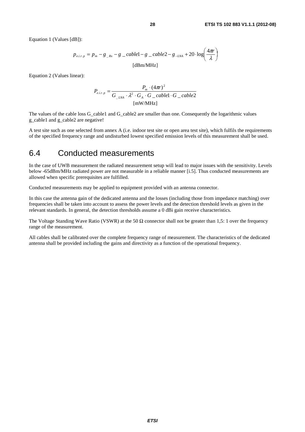Equation 1 (Values [dB]):

$$
p_{e,i,r,p} = p_m - g_{-Rx} - g_{-}cable1 - g_{-}cable2 - g_{-LNA} + 20 \cdot \log\left(\frac{4\pi r}{\lambda}\right)
$$
  
[dBm/MHz]

Equation 2 (Values linear):

$$
P_{e,i,r,p} = \frac{P_m \cdot (4\pi r)^2}{G_{LNA} \cdot \lambda^2 \cdot G_A \cdot G_{C} \cdot \text{cable1} \cdot G_{C} \cdot \text{cable2}}
$$
  
[mW/MHz]

The values of the cable loss G\_cable1 and G\_cable2 are smaller than one. Consequently the logarithmic values g\_cable1 and g\_cable2 are negative!

A test site such as one selected from annex A (i.e. indoor test site or open area test site), which fulfils the requirements of the specified frequency range and undisturbed lowest specified emission levels of this measurement shall be used.

# 6.4 Conducted measurements

In the case of UWB measurement the radiated measurement setup will lead to major issues with the sensitivity. Levels below -65dBm/MHz radiated power are not measurable in a reliable manner [i.5]. Thus conducted measurements are allowed when specific prerequisites are fulfilled.

Conducted measurements may be applied to equipment provided with an antenna connector.

In this case the antenna gain of the dedicated antenna and the losses (including those from impedance matching) over frequencies shall be taken into account to assess the power levels and the detection threshold levels as given in the relevant standards. In general, the detection thresholds assume a 0 dBi gain receive characteristics.

The Voltage Standing Wave Ratio (VSWR) at the 50  $\Omega$  connector shall not be greater than 1,5: 1 over the frequency range of the measurement.

All cables shall be calibrated over the complete frequency range of measurement. The characteristics of the dedicated antenna shall be provided including the gains and directivity as a function of the operational frequency.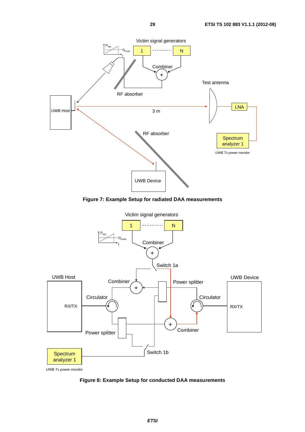

**Figure 7: Example Setup for radiated DAA measurements** 



**Figure 8: Example Setup for conducted DAA measurements**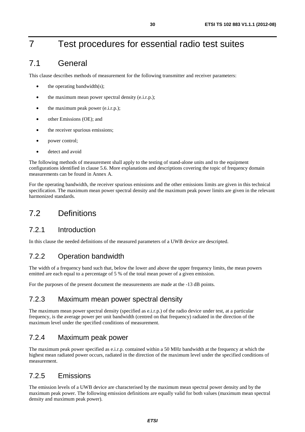# 7 Test procedures for essential radio test suites

# 7.1 General

This clause describes methods of measurement for the following transmitter and receiver parameters:

- the operating bandwidth $(s)$ ;
- the maximum mean power spectral density (e.i.r.p.);
- the maximum peak power (e.i.r.p.);
- other Emissions (OE); and
- the receiver spurious emissions;
- power control;
- detect and avoid

The following methods of measurement shall apply to the testing of stand-alone units and to the equipment configurations identified in clause 5.6. More explanations and descriptions covering the topic of frequency domain measurements can be found in Annex A.

For the operating bandwidth, the receiver spurious emissions and the other emissions limits are given in this technical specification. The maximum mean power spectral density and the maximum peak power limits are given in the relevant harmonized standards.

# 7.2 Definitions

# 7.2.1 Introduction

In this clause the needed definitions of the measured parameters of a UWB device are descripted.

# 7.2.2 Operation bandwidth

The width of a frequency band such that, below the lower and above the upper frequency limits, the mean powers emitted are each equal to a percentage of 5 % of the total mean power of a given emission.

For the purposes of the present document the measurements are made at the -13 dB points.

# 7.2.3 Maximum mean power spectral density

The maximum mean power spectral density (specified as e.i.r.p.) of the radio device under test, at a particular frequency, is the average power per unit bandwidth (centred on that frequency) radiated in the direction of the maximum level under the specified conditions of measurement.

# 7.2.4 Maximum peak power

The maximum peak power specified as e.i.r.p. contained within a 50 MHz bandwidth at the frequency at which the highest mean radiated power occurs, radiated in the direction of the maximum level under the specified conditions of measurement.

# 7.2.5 Emissions

The emission levels of a UWB device are characterised by the maximum mean spectral power density and by the maximum peak power. The following emission definitions are equally valid for both values (maximum mean spectral density and maximum peak power).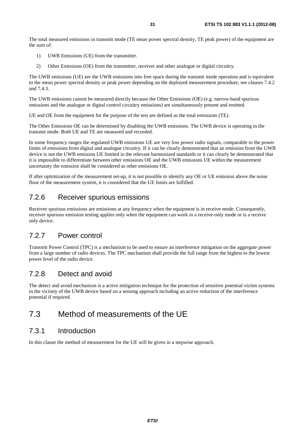The total measured emissions in transmit mode (TE mean power spectral density, TE peak power) of the equipment are the sum of:

- 1) UWB Emissions (UE) from the transmitter.
- 2) Other Emissions (OE) from the transmitter, receiver and other analogue or digital circuitry.

The UWB emissions (UE) are the UWB emissions into free space during the transmit mode operation and is equivalent to the mean power spectral density or peak power depending on the deployed measurement procedure, see clauses 7.4.2 and 7.4.3.

The UWB emissions cannot be measured directly because the Other Emissions (OE) (e.g. narrow-band spurious emissions and the analogue or digital control circuitry emissions) are simultaneously present and emitted.

UE and OE from the equipment for the purpose of the test are defined as the total emissions (TE).

The Other Emissions OE can be determined by disabling the UWB emissions. The UWB device is operating in the transmit mode. Both UE and TE are measured and recorded.

In some frequency ranges the regulated UWB emissions UE are very low power radio signals, comparable to the power limits of emissions from digital and analogue circuitry. If it can be clearly demonstrated that an emission from the UWB device is not the UWB emission UE limited in the relevant harmonized standards or it can clearly be demonstrated that it is impossible to differentiate between other emissions OE and the UWB emissions UE within the measurement uncertainty the emission shall be considered as other emissions OE.

If after optimization of the measurement set-up, it is not possible to identify any OE or UE emission above the noise floor of the measurement system, it is considered that the UE limits are fulfilled.

# 7.2.6 Receiver spurious emissions

Receiver spurious emissions are emissions at any frequency when the equipment is in receive mode. Consequently, receiver spurious emission testing applies only when the equipment can work in a receive-only mode or is a receive only device.

# 7.2.7 Power control

Transmit Power Control (TPC) is a mechanism to be used to ensure an interference mitigation on the aggregate power from a large number of radio devices. The TPC mechanism shall provide the full range from the highest to the lowest power level of the radio device.

# 7.2.8 Detect and avoid

The detect and avoid mechanism is a active mitigation technique for the protection of sensitive potential victim systems in the vicinity of the UWB device based on a sensing approach including an active reduction of the interference potential if required.

# 7.3 Method of measurements of the UE

# 7.3.1 Introduction

In this clause the method of measurement for the UE will be given in a stepwise approach.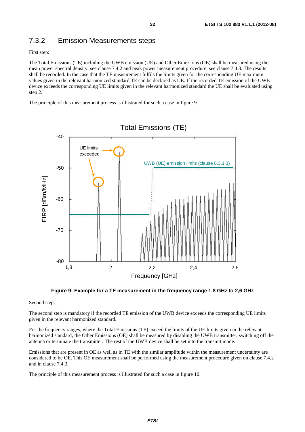# 7.3.2 Emission Measurements steps

First step:

The Total Emissions (TE) including the UWB emission (UE) and Other Emissions (OE) shall be measured using the mean power spectral density, see clause 7.4.2 and peak power measurement procedure, see clause 7.4.3. The results shall be recorded. In the case that the TE measurement fulfils the limits given for the corresponding UE maximum values given in the relevant harmonized standard TE can be declared as UE. If the recorded TE emission of the UWB device exceeds the corresponding UE limits given in the relevant harmonized standard the UE shall be evaluated using step 2.

The principle of this measurement process is illustrated for such a case in figure 9.



**Figure 9: Example for a TE measurement in the frequency range 1,8 GHz to 2,6 GHz** 

Second step:

The second step is mandatory if the recorded TE emission of the UWB device exceeds the corresponding UE limits given in the relevant harmonized standard.

For the frequency ranges, where the Total Emissions (TE) exceed the limits of the UE limits given in the relevant harmonized standard, the Other Emissions (OE) shall be measured by disabling the UWB transmitter, switching off the antenna or terminate the transmitter. The rest of the UWB device shall be set into the transmit mode.

Emissions that are present in OE as well as in TE with the similar amplitude within the measurement uncertainty are considered to be OE. This OE measurement shall be performed using the measurement procedure given on clause 7.4.2 and in clause 7.4.3.

The principle of this measurement process is illustrated for such a case in figure 10.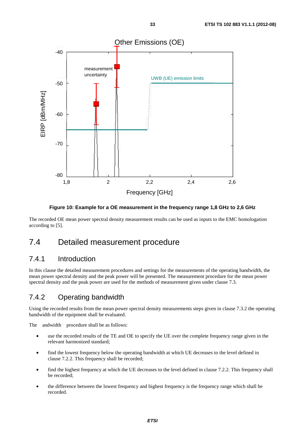

**Figure 10: Example for a OE measurement in the frequency range 1,8 GHz to 2,6 GHz** 

The recorded OE mean power spectral density measurement results can be used as inputs to the EMC homologation according to [5].

# 7.4 Detailed measurement procedure

### 7.4.1 Introduction

In this clause the detailed measurement procedures and settings for the measurements of the operating bandwidth, the mean power spectral density and the peak power will be presented. The measurement procedure for the mean power spectral density and the peak power are used for the methods of measurement given under clause 7.3.

### 7.4.2 Operating bandwidth

Using the recorded results from the mean power spectral density measurements steps given in clause 7.3.2 the operating bandwidth of the equipment shall be evaluated.

The andwidth procedure shall be as follows:

- use the recorded results of the TE and OE to specify the UE over the complete frequency range given in the relevant harmonized standard;
- find the lowest frequency below the operating bandwidth at which UE decreases to the level defined in clause 7.2.2. This frequency shall be recorded;
- find the highest frequency at which the UE decreases to the level defined in clause 7.2.2. This frequency shall be recorded;
- the difference between the lowest frequency and highest frequency is the frequency range which shall be recorded.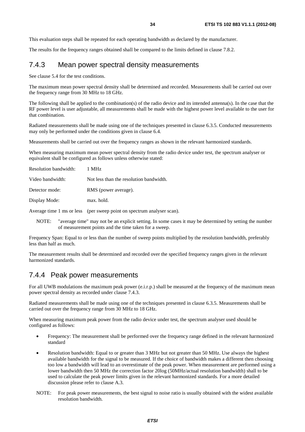This evaluation steps shall be repeated for each operating bandwidth as declared by the manufacturer.

The results for the frequency ranges obtained shall be compared to the limits defined in clause 7.8.2.

### 7.4.3 Mean power spectral density measurements

See clause 5.4 for the test conditions.

The maximum mean power spectral density shall be determined and recorded. Measurements shall be carried out over the frequency range from 30 MHz to 18 GHz.

The following shall be applied to the combination(s) of the radio device and its intended antenna(s). In the case that the RF power level is user adjustable, all measurements shall be made with the highest power level available to the user for that combination.

Radiated measurements shall be made using one of the techniques presented in clause 6.3.5. Conducted measurements may only be performed under the conditions given in clause 6.4.

Measurements shall be carried out over the frequency ranges as shown in the relevant harmonized standards.

When measuring maximum mean power spectral density from the radio device under test, the spectrum analyser or equivalent shall be configured as follows unless otherwise stated:

| Resolution bandwidth: | 1 MHz                                   |
|-----------------------|-----------------------------------------|
| Video bandwidth:      | Not less than the resolution bandwidth. |
| Detector mode:        | RMS (power average).                    |
| Display Mode:         | max. hold.                              |
|                       |                                         |

Average time 1 ms or less (per sweep point on spectrum analyser scan).

NOTE: "average time" may not be an explicit setting. In some cases it may be determined by setting the number of measurement points and the time taken for a sweep.

Frequency Span: Equal to or less than the number of sweep points multiplied by the resolution bandwidth, preferably less than half as much.

The measurement results shall be determined and recorded over the specified frequency ranges given in the relevant harmonized standards.

### 7.4.4 Peak power measurements

For all UWB modulations the maximum peak power (e.i.r.p.) shall be measured at the frequency of the maximum mean power spectral density as recorded under clause 7.4.3.

Radiated measurements shall be made using one of the techniques presented in clause 6.3.5. Measurements shall be carried out over the frequency range from 30 MHz to 18 GHz.

When measuring maximum peak power from the radio device under test, the spectrum analyser used should be configured as follows:

- Frequency: The measurement shall be performed over the frequency range defined in the relevant harmonized standard
- Resolution bandwidth: Equal to or greater than 3 MHz but not greater than 50 MHz. Use always the highest available bandwidth for the signal to be measured. If the choice of bandwidth makes a different then choosing too low a bandwidth will lead to an overestimate of the peak power. When measurement are performed using a lower bandwidth then 50 MHz the correction factor 20log (50MHz/actual resolution bandwidth) shall to be used to calculate the peak power limits given in the relevant harmonized standards. For a more detailed discussion please refer to clause A.3.
- NOTE: For peak power measurements, the best signal to noise ratio is usually obtained with the widest available resolution bandwidth.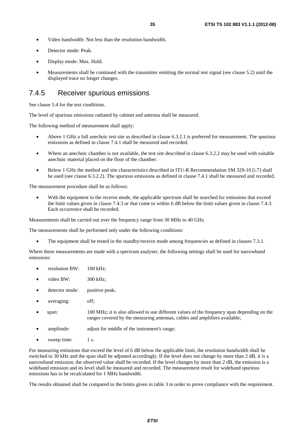- Video bandwidth: Not less than the resolution bandwidth.
- Detector mode: Peak.
- Display mode: Max. Hold.
- Measurements shall be continued with the transmitter emitting the normal test signal (see clause 5.2) until the displayed trace no longer changes.

### 7.4.5 Receiver spurious emissions

See clause 5.4 for the test conditions.

The level of spurious emissions radiated by cabinet and antenna shall be measured.

The following method of measurement shall apply:

- Above 1 GHz a full anechoic test site as described in clause 6.3.2.1 is preferred for measurement. The spurious emissions as defined in clause 7.4.1 shall be measured and recorded.
- Where an anechoic chamber is not available, the test site described in clause 6.3.2.2 may be used with suitable anechoic material placed on the floor of the chamber.
- Below 1 GHz the method and site characteristics described in ITU-R Recommendation SM 329-10 [i.7] shall be used (see clause 6.3.2.2). The spurious emissions as defined in clause 7.4.1 shall be measured and recorded.

The measurement procedure shall be as follows:

With the equipment in the receive mode, the applicable spectrum shall be searched for emissions that exceed the limit values given in clause 7.4.3 or that come to within 6 dB below the limit values given in clause 7.4.3. Each occurrence shall be recorded.

Measurements shall be carried out over the frequency range from 30 MHz to 40 GHz.

The measurements shall be performed only under the following conditions:

The equipment shall be tested in the standby/receive mode among frequencies as defined in clauses 7.3.1.

Where these measurements are made with a spectrum analyser, the following settings shall be used for narrowband emissions:

- resolution  $BW: 100 kHz:$
- video BW: 300 kHz;
- detector mode: positive peak;
- averaging: off;
- span: 100 MHz; it is also allowed to use different values of the frequency span depending on the ranges covered by the measuring antennas, cables and amplifiers available;
- amplitude: adjust for middle of the instrument's range;
- sweep time: 1 s.

For measuring emissions that exceed the level of 6 dB below the applicable limit, the resolution bandwidth shall be switched to 30 kHz and the span shall be adjusted accordingly. If the level does not change by more than 2 dB, it is a narrowband emission; the observed value shall be recorded. If the level changes by more than 2 dB, the emission is a wideband emission and its level shall be measured and recorded. The measurement result for wideband spurious emissions has to be recalculated for 1 MHz bandwidth.

The results obtained shall be compared to the limits given in table 3 in order to prove compliance with the requirement.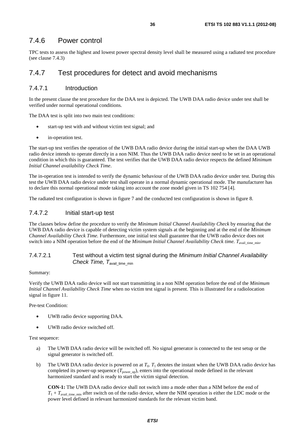### 7.4.6 Power control

TPC tests to assess the highest and lowest power spectral density level shall be measured using a radiated test procedure (see clause 7.4.3)

# 7.4.7 Test procedures for detect and avoid mechanisms

### 7.4.7.1 Introduction

In the present clause the test procedure for the DAA test is depicted. The UWB DAA radio device under test shall be verified under normal operational conditions.

The DAA test is split into two main test conditions:

- start-up test with and without victim test signal; and
- in-operation test.

The start-up test verifies the operation of the UWB DAA radio device during the initial start-up when the DAA UWB radio device intends to operate directly in a non NIM. Thus the UWB DAA radio device need to be set in an operational condition in which this is guaranteed. The test verifies that the UWB DAA radio device respects the defined *Minimum Initial Channel availability Check Time*.

The in-operation test is intended to verify the dynamic behaviour of the UWB DAA radio device under test. During this test the UWB DAA radio device under test shall operate in a normal dynamic operational mode. The manufacturer has to declare this normal operational mode taking into account the zone model given in TS 102 754 [4].

The radiated test configuration is shown in figure 7 and the conducted test configuration is shown in figure 8.

### 7.4.7.2 Initial start-up test

The clauses below define the procedure to verify the *Minimum Initial Channel Availability Check* by ensuring that the UWB DAA radio device is capable of detecting victim system signals at the beginning and at the end of the *Minimum Channel Availability Check Time.* Furthermore, one initial test shall guarantee that the UWB radio device does not switch into a NIM operation before the end of the *Minimum Initial Channel Availability Check time.* T<sub>avail</sub> time min.

#### 7.4.7.2.1 Test without a victim test signal during the *Minimum Initial Channel Availability Check Time, T<sub>avail time min*</sub>

#### Summary:

Verify the UWB DAA radio device will not start transmitting in a non NIM operation before the end of the *Minimum Initial Channel Availability Check Time* when no victim test signal is present. This is illustrated for a radiolocation signal in figure 11.

Pre-test Condition:

- UWB radio device supporting DAA.
- UWB radio device switched off.

#### Test sequence:

- a) The UWB DAA radio device will be switched off. No signal generator is connected to the test setup or the signal generator is switched off.
- b) The UWB DAA radio device is powered on at  $T_0$ .  $T_1$  denotes the instant when the UWB DAA radio device has completed its power-up sequence  $(T_{power\ up})$ , enters into the operational mode defined in the relevant harmonized standard and is ready to start the victim signal detection.

 **CON-1:** The UWB DAA radio device shall not switch into a mode other than a NIM before the end of  $T_1 + T_{\text{avail time-min}}$  after switch on of the radio device, where the NIM operation is either the LDC mode or the power level defined in relevant harmonized standards for the relevant victim band.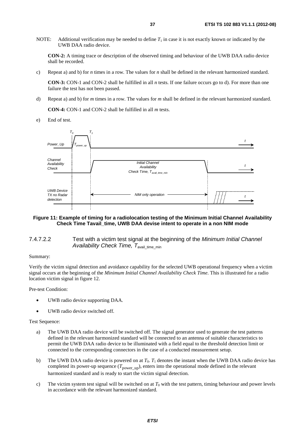NOTE: Additional verification may be needed to define  $T_1$  in case it is not exactly known or indicated by the UWB DAA radio device.

 **CON-2:** A timing trace or description of the observed timing and behaviour of the UWB DAA radio device shall be recorded.

c) Repeat a) and b) for *n* times in a row. The values for *n* shall be defined in the relevant harmonized standard.

 **CON-3:** CON-1 and CON-2 shall be fulfilled in all *n* tests. If one failure occurs go to d). For more than one failure the test has not been passed.

d) Repeat a) and b) for *m* times in a row. The values for *m* shall be defined in the relevant harmonized standard.

 **CON-4:** CON-1 and CON-2 shall be fulfilled in all *m* tests.

e) End of test.



#### **Figure 11: Example of timing for a radiolocation testing of the Minimum Initial Channel Availability Check Time Tavail\_time, UWB DAA devise intent to operate in a non NIM mode**

#### 7.4.7.2.2 Test with a victim test signal at the beginning of the *Minimum Initial Channel Availability Check Time, T<sub>avail time min*</sub>

#### Summary:

Verify the victim signal detection and avoidance capability for the selected UWB operational frequency when a victim signal occurs at the beginning of the *Minimum Initial Channel Availability Check Time*. This is illustrated for a radio location victim signal in figure 12.

Pre-test Condition:

- UWB radio device supporting DAA.
- UWB radio device switched off.

#### Test Sequence:

- a) The UWB DAA radio device will be switched off. The signal generator used to generate the test patterns defined in the relevant harmonized standard will be connected to an antenna of suitable characteristics to permit the UWB DAA radio device to be illuminated with a field equal to the threshold detection limit or connected to the corresponding connectors in the case of a conducted measurement setup.
- b) The UWB DAA radio device is powered on at  $T_0$ .  $T_1$  denotes the instant when the UWB DAA radio device has completed its power-up sequence  $(T_{power up})$ , enters into the operational mode defined in the relevant harmonized standard and is ready to start the victim signal detection.
- c) The victim system test signal will be switched on at *T*0 with the test pattern, timing behaviour and power levels in accordance with the relevant harmonized standard.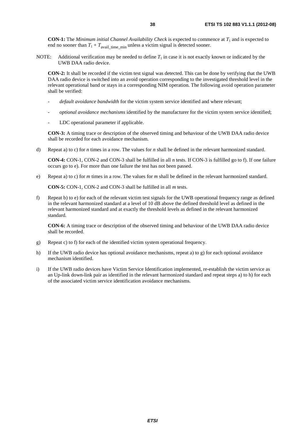**CON-1:** The *Minimum initial Channel Availability Check* is expected to commence at  $T_1$  and is expected to end no sooner than  $T_1 + T_{\text{avail time}}$  min unless a victim signal is detected sooner.

NOTE: Additional verification may be needed to define  $T_1$  in case it is not exactly known or indicated by the UWB DAA radio device.

 **CON-2:** It shall be recorded if the victim test signal was detected. This can be done by verifying that the UWB DAA radio device is switched into an avoid operation corresponding to the investigated threshold level in the relevant operational band or stays in a corresponding NIM operation. The following avoid operation parameter shall be verified:

- *default avoidance bandwidth* for the victim system service identified and where relevant;
- *optional avoidance mechanisms* identified by the manufacturer for the victim system service identified;
- LDC operational parameter if applicable.

 **CON-3:** A timing trace or description of the observed timing and behaviour of the UWB DAA radio device shall be recorded for each avoidance mechanism.

d) Repeat a) to c) for *n* times in a row. The values for *n* shall be defined in the relevant harmonized standard.

 **CON-4:** CON-1, CON-2 and CON-3 shall be fulfilled in all *n* tests. If CON-3 is fulfilled go to f). If one failure occurs go to e). For more than one failure the test has not been passed.

e) Repeat a) to c) for *m* times in a row. The values for *m* shall be defined in the relevant harmonized standard.

 **CON-5:** CON-1, CON-2 and CON-3 shall be fulfilled in all *m* tests.

f) Repeat b) to e) for each of the relevant victim test signals for the UWB operational frequency range as defined in the relevant harmonized standard at a level of 10 dB above the defined threshold level as defined in the relevant harmonized standard and at exactly the threshold levels as defined in the relevant harmonized standard.

 **CON-6:** A timing trace or description of the observed timing and behaviour of the UWB DAA radio device shall be recorded.

- g) Repeat c) to f) for each of the identified victim system operational frequency.
- h) If the UWB radio device has optional avoidance mechanisms, repeat a) to g) for each optional avoidance mechanism identified.
- i) If the UWB radio devices have Victim Service Identification implemented, re-establish the victim service as an Up-link down-link pair as identified in the relevant harmonized standard and repeat steps a) to h) for each of the associated victim service identification avoidance mechanisms.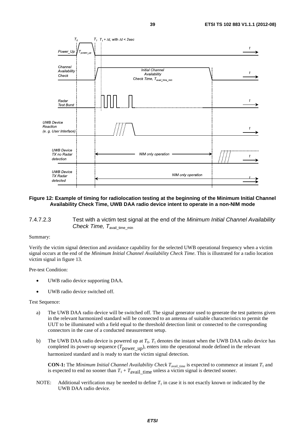

#### **Figure 12: Example of timing for radiolocation testing at the beginning of the Minimum Initial Channel Availability Check Time, UWB DAA radio device intent to operate in a non-NIM mode**

7.4.7.2.3 Test with a victim test signal at the end of the *Minimum Initial Channel Availability Check Time, T<sub>avail time min*</sub>

#### Summary:

Verify the victim signal detection and avoidance capability for the selected UWB operational frequency when a victim signal occurs at the end of the *Minimum Initial Channel Availability Check Time*. This is illustrated for a radio location victim signal in figure 13.

Pre-test Condition:

- UWB radio device supporting DAA.
- UWB radio device switched off.

#### Test Sequence:

- a) The UWB DAA radio device will be switched off. The signal generator used to generate the test patterns given in the relevant harmonized standard will be connected to an antenna of suitable characteristics to permit the UUT to be illuminated with a field equal to the threshold detection limit or connected to the corresponding connectors in the case of a conducted measurement setup.
- b) The UWB DAA radio device is powered up at  $T_0$ .  $T_1$  denotes the instant when the UWB DAA radio device has completed its power-up sequence  $(T_{power-up})$ , enters into the operational mode defined in the relevant harmonized standard and is ready to start the victim signal detection.

 **CON-1:** The *Minimum Initial Channel Availability Check*  $T_{\text{avail\_time}}$  is expected to commence at instant  $T_1$  and is expected to end no sooner than  $T_1 + T_{\text{avail}}$  time unless a victim signal is detected sooner.

NOTE: Additional verification may be needed to define  $T_1$  in case it is not exactly known or indicated by the UWB DAA radio device.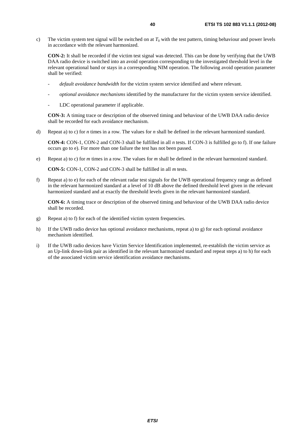c) The victim system test signal will be switched on at  $T_0$  with the test pattern, timing behaviour and power levels in accordance with the relevant harmonized.

 **CON-2:** It shall be recorded if the victim test signal was detected. This can be done by verifying that the UWB DAA radio device is switched into an avoid operation corresponding to the investigated threshold level in the relevant operational band or stays in a corresponding NIM operation. The following avoid operation parameter shall be verified:

- *default avoidance bandwidth* for the victim system service identified and where relevant.
- *optional avoidance mechanisms* identified by the manufacturer for the victim system service identified.
- LDC operational parameter if applicable.

 **CON-3:** A timing trace or description of the observed timing and behaviour of the UWB DAA radio device shall be recorded for each avoidance mechanism.

d) Repeat a) to c) for *n* times in a row. The values for *n* shall be defined in the relevant harmonized standard.

 **CON-4:** CON-1, CON-2 and CON-3 shall be fulfilled in all *n* tests. If CON-3 is fulfilled go to f). If one failure occurs go to e). For more than one failure the test has not been passed.

e) Repeat a) to c) for *m* times in a row. The values for *m* shall be defined in the relevant harmonized standard.

 **CON-5:** CON-1, CON-2 and CON-3 shall be fulfilled in all *m* tests.

f) Repeat a) to e) for each of the relevant radar test signals for the UWB operational frequency range as defined in the relevant harmonized standard at a level of 10 dB above the defined threshold level given in the relevant harmonized standard and at exactly the threshold levels given in the relevant harmonized standard.

 **CON-6:** A timing trace or description of the observed timing and behaviour of the UWB DAA radio device shall be recorded.

- g) Repeat a) to f) for each of the identified victim system frequencies.
- h) If the UWB radio device has optional avoidance mechanisms, repeat a) to g) for each optional avoidance mechanism identified.
- i) If the UWB radio devices have Victim Service Identification implemented, re-establish the victim service as an Up-link down-link pair as identified in the relevant harmonized standard and repeat steps a) to h) for each of the associated victim service identification avoidance mechanisms.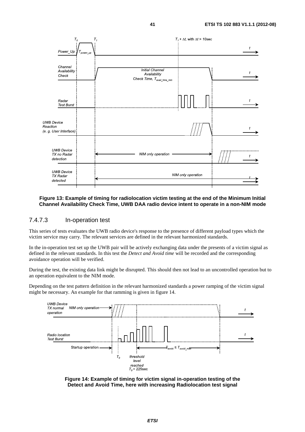

#### **Figure 13: Example of timing for radiolocation victim testing at the end of the Minimum Initial Channel Availability Check Time, UWB DAA radio device intent to operate in a non-NIM mode**

#### 7.4.7.3 In-operation test

This series of tests evaluates the UWB radio device's response to the presence of different payload types which the victim service may carry. The relevant services are defined in the relevant harmonized standards.

In the in-operation test set up the UWB pair will be actively exchanging data under the presents of a victim signal as defined in the relevant standards. In this test the *Detect and Avoid time* will be recorded and the corresponding avoidance operation will be verified.

During the test, the existing data link might be disrupted. This should then not lead to an uncontrolled operation but to an operation equivalent to the NIM mode.

Depending on the test pattern definition in the relevant harmonized standards a power ramping of the victim signal might be necessary. An example for that ramming is given in figure 14.



**Figure 14: Example of timing for victim signal in-operation testing of the Detect and Avoid Time, here with increasing Radiolocation test signal**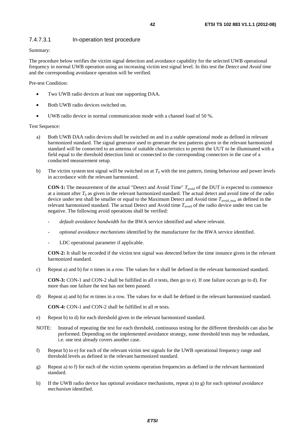#### 7.4.7.3.1 In-operation test procedure

Summary:

The procedure below verifies the victim signal detection and avoidance capability for the selected UWB operational frequency in normal UWB operation using an increasing victim test signal level. In this test the *Detect and Avoid time* and the corresponding avoidance operation will be verified.

Pre-test Condition:

- Two UWB radio devices at least one supporting DAA.
- Both UWB radio devices switched on.
- UWB radio device in normal communication mode with a channel load of 50 %.

Test Sequence:

- a) Both UWB DAA radio devices shall be switched on and in a stable operational mode as defined in relevant harmonized standard. The signal generator used to generate the test patterns given in the relevant harmonized standard will be connected to an antenna of suitable characteristics to permit the UUT to be illuminated with a field equal to the threshold detection limit or connected to the corresponding connectors in the case of a conducted measurement setup.
- b) The victim system test signal will be switched on at  $T_0$  with the test pattern, timing behaviour and power levels in accordance with the relevant harmonized.

**CON-1:** The measurement of the actual "Detect and Avoid Time"  $T_{\text{avoid}}$  of the DUT is expected to commence at a instant after  $T_0$  as given in the relevant harmonized standard. The actual detect and avoid time of the radio device under test shall be smaller or equal to the Maximum Detect and Avoid time *T*avoid\_max as defined in the relevant harmonized standard. The actual Detect and Avoid time T<sub>avoid</sub> of the radio device under test can be negative. The following avoid operations shall be verified:

- *default avoidance bandwidth* for the BWA service identified and where relevant.
- *optional avoidance mechanisms* identified by the manufacturer for the BWA service identified.
- LDC operational parameter if applicable.

 **CON-2:** It shall be recorded if the victim test signal was detected before the time instance given in the relevant harmonized standard*.* 

c) Repeat a) and b) for *n* times in a row. The values for *n* shall be defined in the relevant harmonized standard.

 **CON-3:** CON-1 and CON-2 shall be fulfilled in all *n* tests, then go to e). If one failure occurs go to d). For more than one failure the test has not been passed.

d) Repeat a) and b) for *m* times in a row. The values for *m* shall be defined in the relevant harmonized standard.

 **CON-4:** CON-1 and CON-2 shall be fulfilled in all *m* tests.

- e) Repeat b) to d) for each threshold given in the relevant harmonized standard.
- NOTE: Instead of repeating the test for each threshold, continuous testing for the different thresholds can also be performed. Depending on the implemented avoidance strategy, some threshold tests may be redundant, i.e. one test already covers another case.
- f) Repeat b) to e) for each of the relevant victim test signals for the UWB operational frequency range and threshold levels as defined in the relevant harmonized standard.
- g) Repeat a) to f) for each of the victim systems operation frequencies as defined in the relevant harmonized standard.
- h) If the UWB radio device has optional avoidance mechanisms, repeat a) to g) for each *optional avoidance mechanism* identified.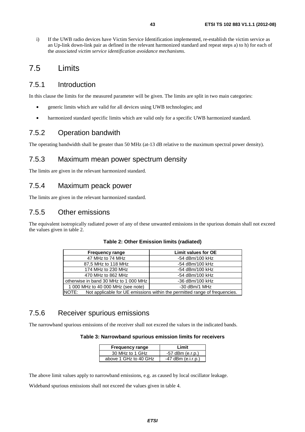i) If the UWB radio devices have Victim Service Identification implemented, re-establish the victim service as an Up-link down-link pair as defined in the relevant harmonized standard and repeat steps a) to h) for each of the *associated victim service identification avoidance mechanisms*.

# 7.5 Limits

### 7.5.1 Introduction

In this clause the limits for the measured parameter will be given. The limits are split in two main categories:

- generic limits which are valid for all devices using UWB technologies; and
- harmonized standard specific limits which are valid only for a specific UWB harmonized standard.

### 7.5.2 Operation bandwith

The operating bandwidth shall be greater than 50 MHz (at-13 dB relative to the maximum spectral power density).

### 7.5.3 Maximum mean power spectrum density

The limits are given in the relevant harmonized standard.

### 7.5.4 Maximum peack power

The limits are given in the relevant harmonized standard.

### 7.5.5 Other emissions

The equivalent isotropically radiated power of any of these unwanted emissions in the spurious domain shall not exceed the values given in table 2.

| <b>Frequency range</b>                                                              | <b>Limit values for OE</b> |
|-------------------------------------------------------------------------------------|----------------------------|
| 47 MHz to 74 MHz                                                                    | -54 dBm/100 kHz            |
| 87,5 MHz to 118 MHz                                                                 | -54 dBm/100 kHz            |
| 174 MHz to 230 MHz                                                                  | -54 dBm/100 kHz            |
| 470 MHz to 862 MHz                                                                  | -54 dBm/100 kHz            |
| otherwise in band 30 MHz to 1 000 MHz                                               | -36 dBm/100 kHz            |
| 1 000 MHz to 40 000 MHz (see note)                                                  | $-30$ dBm/1 MHz            |
| NOTE:<br>Not applicable for UE emissions within the permitted range of frequencies. |                            |

# 7.5.6 Receiver spurious emissions

The narrowband spurious emissions of the receiver shall not exceed the values in the indicated bands.

#### **Table 3: Narrowband spurious emission limits for receivers**

| <b>Frequency range</b> | I imit               |
|------------------------|----------------------|
| 30 MHz to 1 GHz        | $-57$ dBm (e.r.p.)   |
| above 1 GHz to 40 GHz  | $-47$ dBm (e.i.r.p.) |

The above limit values apply to narrowband emissions, e.g. as caused by local oscillator leakage.

Wideband spurious emissions shall not exceed the values given in table 4.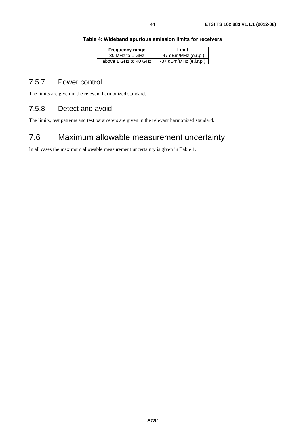| Table 4: Wideband spurious emission limits for receivers |  |  |  |  |
|----------------------------------------------------------|--|--|--|--|
|----------------------------------------------------------|--|--|--|--|

| <b>Frequency range</b> | I imit                   |
|------------------------|--------------------------|
| 30 MHz to 1 GHz        | $-47$ dBm/MHz (e.r.p.)   |
| above 1 GHz to 40 GHz  | $-37$ dBm/MHz (e.i.r.p.) |

### 7.5.7 Power control

The limits are given in the relevant harmonized standard.

# 7.5.8 Detect and avoid

The limits, test patterns and test parameters are given in the relevant harmonized standard.

# 7.6 Maximum allowable measurement uncertainty

In all cases the maximum allowable measurement uncertainty is given in Table 1.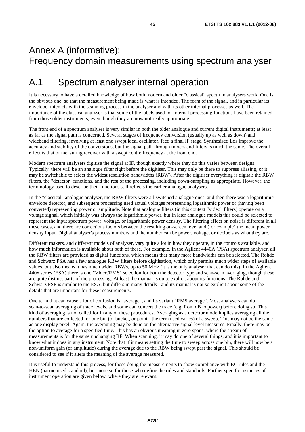# Annex A (informative): Frequency domain measurements using spectrum analyser

# A.1 Spectrum analyser internal operation

It is necessary to have a detailed knowledge of how both modern and older "classical" spectrum analysers work. One is the obvious one: so that the measurement being made is what is intended. The form of the signal, and in particular its envelope, interacts with the scanning process in the analyser and with its other internal processes as well. The importance of the classical analyser is that some of the labels used for internal processing functions have been retained from those older instruments, even though they are now not really appropriate.

The front end of a spectrum analyser is very similar in both the older analogue and current digital instruments; at least as far as the signal path is concerned. Several stages of frequency conversion (usually up as well as down) and wideband filtering, involving at least one swept local oscillator, feed a final IF stage. Synthesised Los improve the accuracy and stability of the conversions, but the signal path through mixers and filters is much the same. The overall effect is that of measuring receiver with a swept centre frequency at the front end.

Modern spectrum analysers digitise the signal at IF, though exactly where they do this varies between designs. Typically, there will be an analogue filter right before the digitiser. This may only be there to suppress aliasing, or it may be switchable to select the widest resolution bandwidths (RBW). After the digitiser everything is digital: the RBW filters, the "detector" functions, and the rest of the processing, including down-sampling as appropriate. However, the terminology used to describe their functions still reflects the earlier analogue analysers.

In the "classical" analogue analyser, the RBW filters were all switched analogue ones, and then there was a logarithmic envelope detector, and subsequent processing used actual voltages representing logarithmic power or (having been converted) representing power or amplitude. Note that analogue filters (in this context "video" filters) operate on a voltage signal, which initially was always the logarithmic power, but in later analogue models this could be selected to represent the input spectrum power, voltage, or logarithmic power density. The filtering effect on noise is different in all these cases, and there are corrections factors between the resulting on-screen level and (for example) the mean power density input. Digital analyser's process numbers and the number can be power, voltage, or decibels as what they are.

Different makers, and different models of analyser, vary quite a lot in how they operate, in the controls available, and how much information is available about both of these. For example, in the Agilent 4440A (PSA) spectrum analyser, all the RBW filters are provided as digital functions, which means that many more bandwidths can be selected. The Rohde and Schwarz PSA has a few analogue RBW filters before digitisation, which only permits much wider steps of available values, but also means it has much wider RBWs, up to 50 MHz (it is the only analyser that can do this). In the Agilent 440x series (ESA) there is one "Video/RMS" selection for both the detector type and scan-scan averaging, though these are quite distinct parts of the processing. At least the manual is quite explicit about its functions. The Rohde and Schwarz FSP is similar to the ESA, but differs in many details - and its manual is not so explicit about some of the details that are important for these measurements.

One term that can cause a lot of confusion is "average", and its variant "RMS average". Most analysers can do scan-to-scan averaging of trace levels, and some can convert the trace (e.g. from dB to power) before doing so. This kind of averaging is not called for in any of these procedures. Averaging as a detector mode implies averaging all the numbers that are collected for one bin (or bucket, or point - the term used varies) of a sweep. This may not be the same as one display pixel. Again, the averaging may be done on the alternative signal level measures. Finally, there may be the option to average for a specified time. This has an obvious meaning in zero spans, where the stream of measurements is for the same unchanging RF. When scanning, it may do one of several things, and it is important to know what it does in any instrument. Note that if it means setting the time to sweep across one bin, there will now be a non-uniform gain (or amplitude) during the average due to the RBW being swept past the signal. This should be considered to see if it alters the meaning of the average measured.

It is useful to understand this process, for those doing the measurements to show compliance with EC rules and the HEN (harmonised standard), but more so for those who define the rules and standards. Further specific instances of instrument operation are given below, where they are relevant.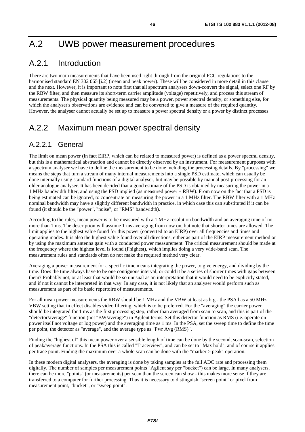# A.2 UWB power measurement procedures

# A.2.1 Introduction

There are two main measurements that have been used right through from the original FCC regulations to the harmonised standard EN 302 065 [i.2] (mean and peak power). These will be considered in more detail in this clause and the next. However, it is important to note first that all spectrum analysers down-convert the signal, select one RF by the RBW filter, and then measure its short-term carrier amplitude (voltage) repetitively, and process this stream of measurements. The physical quantity being measured may be a power, power spectral density, or something else, for which the analyser's observations are evidence and can be converted to give a measure of the required quantity. However, the analyser cannot actually be set up to measure a power spectral density or a power by distinct processes.

# A.2.2 Maximum mean power spectral density

### A.2.2.1 General

The limit on mean power (in fact EIRP, which can be related to measured power) is defined as a power spectral density, but this is a mathematical abstraction and cannot be directly observed by an instrument. For measurement purposes with a spectrum analyser we have to define the measurement to be done including the processing details. By "processing" we means the steps that turn a stream of many internal measurements into a single PSD estimate, which can usually be done internally using standard functions of a digital analyser, but may be possible by manual post-processing for an older analogue analyser. It has been decided that a good estimate of the PSD is obtained by measuring the power in a 1 MHz bandwidth filter, and using the PSD implied (as measured power ÷ RBW). From now on the fact that a PSD is being estimated can be ignored, to concentrate on measuring the power in a 1 MHz filter. The RBW filter with a 1 MHz nominal bandwidth may have a slightly different bandwidth in practice, in which case this can substituted if it can be found (it should be the "power", "noise", or "RMS" bandwidth).

According to the rules, mean power is to be measured with a 1 MHz resolution bandwidth and an averaging time of no more than 1 ms. The description will assume 1 ms averaging from now on, but note that shorter times are allowed. The limit applies to the highest value found for this power (converted to an EIRP) over all frequencies and times and operating modes. It is also the highest value found over all directions, either as part of the EIRP measurement method or by using the maximum antenna gain with a conducted power measurement. The critical measurement should be made at the frequency where the highest level is found (Fhighest), which implies doing a very wide-band scan. The measurement rules and standards often do not make the required method very clear.

Averaging a power measurement for a specific time means integrating the power, to give energy, and dividing by the time. Does the time always have to be one contiguous interval, or could it be a series of shorter times with gaps between them? Probably not, or at least that would be so unusual as an interpretation that it would need to be explicitly stated, and if not it cannot be interpreted in that way. In any case, it is not likely that an analyser would perform such as measurement as part of its basic repertoire of measurements.

For all mean power measurements the RBW should be 1 MHz and the VBW at least as big - the PSA has a 50 MHz VBW setting that in effect disables video filtering, which is to be preferred. For the "averaging" the carrier power should be integrated for 1 ms as the first processing step, rather than averaged from scan to scan, and this is part of the "detector/average" function (not "BW/average") in Agilent terms. Set this detector function as RMS (i.e. operate on power itself not voltage or log power) and the averaging time as 1 ms. In the PSA, set the sweep time to define the time per point, the detector as "average", and the average type as "Pwr Avg (RMS)".

Finding the "highest of" this mean power over a sensible length of time can be done by the second, scan-scan, selection of peak/average functions. In the PSA this is called "Trace/view", and can be set to "Max hold", and of course it applies per trace point. Finding the maximum over a whole scan can be done with the "marker > peak" operation.

In these modern digital analysers, the averaging is done by taking samples at the full ADC rate and processing them digitally. The number of samples per measurement points "Agilent say per "bucket") can be large. In many analysers, there can be more "points" (or measurements) per scan than the screen can show - this makes more sense if they are transferred to a computer for further processing. Thus it is necessary to distinguish "screen point" or pixel from measurement point, "bucket", or "sweep point".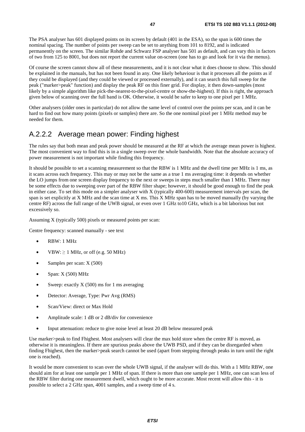The PSA analyser has 601 displayed points on its screen by default (401 in the ESA), so the span is 600 times the nominal spacing. The number of points per sweep can be set to anything from 101 to 8192, and is indicated permanently on the screen. The similar Rohde and Schwarz FSP analyser has 501 as default, and can vary this in factors of two from 125 to 8001, but does not report the current value on-screen (one has to go and look for it via the menus).

Of course the screen cannot show all of these measurements, and it is not clear what it does choose to show. This should be explained in the manuals, but has not been found in any. One likely behaviour is that it processes all the points as if they could be displayed (and they could be viewed or processed externally), and it can search this full sweep for the peak ("marker>peak" function) and display the peak RF on this finer grid. For display, it then down-samples (most likely by a simple algorithm like pick-the-nearest-to-the-pixel-centre or show-the-highest). If this is right, the approach given below of scanning over the full band is OK. Otherwise, it would be safer to keep to one pixel per 1 MHz.

Other analysers (older ones in particular) do not allow the same level of control over the points per scan, and it can be hard to find out how many points (pixels or samples) there are. So the one nominal pixel per 1 MHz method may be needed for them.

# A.2.2.2 Average mean power: Finding highest

The rules say that both mean and peak power should be measured at the RF at which the average mean power is highest. The most convenient way to find this is in a single sweep over the whole bandwidth. Note that the absolute accuracy of power measurement is not important while finding this frequency.

It should be possible to set a scanning measurement so that the RBW is 1 MHz and the dwell time per MHz is 1 ms, as it scans across each frequency. This may or may not be the same as a true 1 ms averaging time: it depends on whether the LO jumps from one screen display frequency to the next or sweeps in steps much smaller than 1 MHz. There may be some effects due to sweeping over part of the RBW filter shape; however, it should be good enough to find the peak in either case. To set this mode on a simpler analyser with X (typically 400-600) measurement intervals per scan, the span is set explicitly at X MHz and the scan time at X ms. This X MHz span has to be moved manually (by varying the centre RF) across the full range of the UWB signal, or even over 1 GHz to10 GHz, which is a bit laborious but not excessively so.

Assuming X (typically 500) pixels or measured points per scan:

Centre frequency: scanned manually - see text

- RBW: 1 MHz
- VBW:  $> 1$  MHz, or off (e.g. 50 MHz)
- Samples per scan: X (500)
- Span: X (500) MHz
- Sweep: exactly  $X(500)$  ms for 1 ms averaging
- Detector: Average, Type: Pwr Avg (RMS)
- Scan/View: direct or Max Hold
- Amplitude scale: 1 dB or 2 dB/div for convenience
- Input attenuation: reduce to give noise level at least 20 dB below measured peak

Use marker>peak to find Fhighest. Most analysers will clear the max hold store when the centre RF is moved, as otherwise it is meaningless. If there are spurious peaks above the UWB PSD, and if they can be disregarded when finding Fhighest, then the marker>peak search cannot be used (apart from stepping through peaks in turn until the right one is reached).

It would be more convenient to scan over the whole UWB signal, if the analyser will do this. With a 1 MHz RBW, one should aim for at least one sample per 1 MHz of span. If there is more than one sample per 1 MHz, one can scan less of the RBW filter during one measurement dwell, which ought to be more accurate. Most recent will allow this - it is possible to select a 2 GHz span, 4001 samples, and a sweep time of 4 s.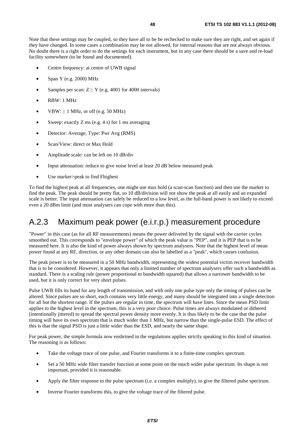Note that these settings may be coupled, so they have all to be be rechecked to make sure they are right, and set again if they have changed. In some cases a combination may be not allowed, for internal reasons that are not always obvious. No doubt there is a right order to do the settings for each instrument, but in any case there should be a save and re-load facility somewhere (to be found and documented).

- Centre frequency: at centre of UWB signal
- Span Y (e.g. 2000) MHz
- Samples per scan:  $Z \ge Y$  (e.g. 4001 for 4000 intervals)
- RBW: 1 MHz
- $VBW: \geq 1$  MHz, or off (e.g. 50 MHz)
- Sweep: exactly  $Z$  ms (e.g. 4 s) for 1 ms averaging
- Detector: Average, Type: Pwr Avg (RMS)
- Scan/View: direct or Max Hold
- Amplitude scale: can be left on 10 dB/div
- Input attenuation: reduce to give noise level at least 20 dB below measured peak
- Use marker>peak to find Fhighest

To find the highest peak at all frequencies, one might use max hold (a scan-scan function) and then use the marker to find the peak. The peak should be pretty flat, so 10 dB/division will not show the peak at all easily and an expanded scale is better. The input attenuation can safely be reduced to a low level, as the full-band power is not likely to exceed even a 20 dBm limit (and most analysers can cope with more than this).

# A.2.3 Maximum peak power (e.i.r.p.) measurement procedure

"Power" in this case (as for all RF measurements) means the power delivered by the signal with the carrier cycles smoothed out. This corresponds to "envelope power" of which the peak value is "PEP", and it is PEP that is to be measured here. It is also the kind of power always shown by spectrum analysers. Note that the highest level of mean power found at any RF, direction, or any other domain can also be labelled as a "peak", which causes confusion.

The peak power is to be measured in a 50 MHz bandwidth, representing the widest potential victim receiver bandwidth that is to be considered. However, it appears that only a limited number of spectrum analysers offer such a bandwidth as standard. There is a scaling rule (power proportional to bandwidth squared) that allows a narrower bandwidth to be used, but it is only correct for very short pulses.

Pulse UWB fills its band for any length of transmission, and with only one pulse type only the timing of pulses can be altered. Since pulses are so short, each contains very little energy, and many should be integrated into a single detection for all but the shortest range. If the pulses are regular in time, the spectrum will have lines. Since the mean PSD limit applies to the highest level in the spectrum, this is a very poor choice. Pulse times are always modulated or dithered (intentionally jittered) to spread the spectral power density more evenly. It is thus likely to be the case that the pulse timing will have its own spectrum that is much wider than 1 MHz, but narrow than the single-pulse ESD. The effect of this is that the signal PSD is just a little wider than the ESD, and nearly the same shape.

For peak power, the simple formula now enshrined in the regulations applies strictly speaking to this kind of situation. The reasoning is as follows:

- Take the voltage trace of one pulse, and Fourier transforms it to a finite-time complex spectrum.
- Set a 50 MHz wide filter transfer function at some point on the much wider pulse spectrum. Its shape is not important, provided it is reasonable.
- Apply the filter response to the pulse spectrum (i.e. a complex multiply), to give the filtered pulse spectrum.
- Inverse Fourier transforms this, to give the voltage trace of the filtered pulse.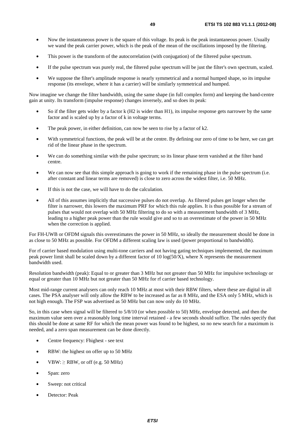- Now the instantaneous power is the square of this voltage. Its peak is the peak instantaneous power. Usually we wand the peak carrier power, which is the peak of the mean of the oscillations imposed by the filtering.
- This power is the transform of the autocorrelation (with conjugation) of the filtered pulse spectrum.
- If the pulse spectrum was purely real, the filtered pulse spectrum will be just the filter's own spectrum, scaled.
- We suppose the filter's amplitude response is nearly symmetrical and a normal humped shape, so its impulse response (its envelope, where it has a carrier) will be similarly symmetrical and humped.

Now imagine we change the filter bandwidth, using the same shape (in full complex form) and keeping the band-centre gain at unity. Its transform (impulse response) changes inversely, and so does its peak:

- So if the filter gets wider by a factor k (H2 is wider than H1), its impulse response gets narrower by the same factor and is scaled up by a factor of k in voltage terms.
- The peak power, in either definition, can now be seen to rise by a factor of k2.
- With symmetrical functions, the peak will be at the centre. By defining our zero of time to be here, we can get rid of the linear phase in the spectrum.
- We can do something similar with the pulse spectrum; so its linear phase term vanished at the filter band centre.
- We can now see that this simple approach is going to work if the remaining phase in the pulse spectrum (i.e. after constant and linear terms are removed) is close to zero across the widest filter, i.e. 50 MHz.
- If this is not the case, we will have to do the calculation.
- All of this assumes implicitly that successive pulses do not overlap. As filtered pulses get longer when the filter is narrower, this lowers the maximum PRF for which this rule applies. It is thus possible for a stream of pulses that would not overlap with 50 MHz filtering to do so with a measurement bandwidth of 3 MHz, leading to a higher peak power than the rule would give and so to an overestimate of the power in 50 MHz when the correction is applied.

For FH-UWB or OFDM signals this overestimates the power in 50 MHz, so ideally the measurement should be done in as close to 50 MHz as possible. For OFDM a different scaling law is used (power proportional to bandwidth).

For rf carrier based modulation using multi-tone carriers and not having gating techniques implemented, the maximum peak power limit shall be scaled down by a different factor of  $10 \log(50/X)$ , where X represents the measurement bandwidth used.

Resolution bandwidth (peak): Equal to or greater than 3 MHz but not greater than 50 MHz for impulsive technology or equal or greater than 10 MHz but not greater than 50 MHz for rf carrier based technology.

Most mid-range current analysers can only reach 10 MHz at most with their RBW filters, where these are digital in all cases. The PSA analyser will only allow the RBW to be increased as far as 8 MHz, and the ESA only 5 MHz, which is not high enough. The FSP was advertised as 50 MHz but can now only do 10 MHz.

So, in this case when signal will be filtered to 5/8/10 (or when possible to 50) MHz, envelope detected, and then the maximum value seen over a reasonably long time interval retained - a few seconds should suffice. The rules specify that this should be done at same RF for which the mean power was found to be highest, so no new search for a maximum is needed, and a zero span measurement can be done directly.

- Centre frequency: Fhighest see text
- RBW: the highest on offer up to 50 MHz
- VBW:  $\ge$  RBW, or off (e.g. 50 MHz)
- Span: zero
- Sweep: not critical
- Detector: Peak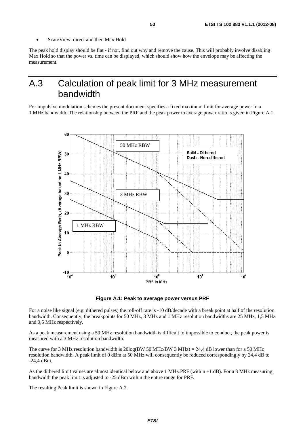• Scan/View: direct and then Max Hold

The peak hold display should be flat - if not, find out why and remove the cause. This will probably involve disabling Max Hold so that the power vs. time can be displayed, which should show how the envelope may be affecting the measurement.

# A.3 Calculation of peak limit for 3 MHz measurement bandwidth

For impulsive modulation schemes the present document specifies a fixed maximum limit for average power in a 1 MHz bandwidth. The relationship between the PRF and the peak power to average power ratio is given in Figure A.1.



**Figure A.1: Peak to average power versus PRF** 

For a noise like signal (e.g. dithered pulses) the roll-off rate is -10 dB/decade with a break point at half of the resolution bandwidth. Consequently, the breakpoints for 50 MHz, 3 MHz and 1 MHz resolution bandwidths are 25 MHz, 1,5 MHz and 0,5 MHz respectively.

As a peak measurement using a 50 MHz resolution bandwidth is difficult to impossible to conduct, the peak power is measured with a 3 MHz resolution bandwidth.

The curve for 3 MHz resolution bandwidth is  $20\log(BW 50 MHz/BW 3 MHz) = 24.4$  dB lower than for a 50 MHz resolution bandwidth. A peak limit of 0 dBm at 50 MHz will consequently be reduced correspondingly by 24,4 dB to -24,4 dBm.

As the dithered limit values are almost identical below and above 1 MHz PRF (within ±1 dB). For a 3 MHz measuring bandwidth the peak limit is adjusted to -25 dBm within the entire range for PRF.

The resulting Peak limit is shown in Figure A.2.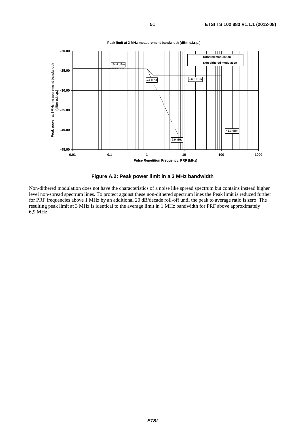

**Peak limit at 3 MHz measurement bandwidth (dBm e.i.r.p.)**



Non-dithered modulation does not have the characteristics of a noise like spread spectrum but contains instead higher level non-spread spectrum lines. To protect against these non-dithered spectrum lines the Peak limit is reduced further for PRF frequencies above 1 MHz by an additional 20 dB/decade roll-off until the peak to average ratio is zero. The resulting peak limit at 3 MHz is identical to the average limit in 1 MHz bandwidth for PRF above approximately 6,9 MHz.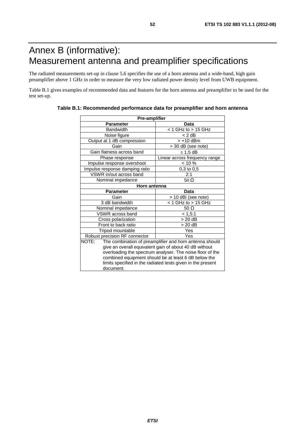# Annex B (informative): Measurement antenna and preamplifier specifications

The radiated measurements set-up in clause 5.6 specifies the use of a horn antenna and a wide-band, high gain preamplifier above 1 GHz in order to measure the very low radiated power density level from UWB equipment.

Table B.1 gives examples of recommended data and features for the horn antenna and preamplifier to be used for the test set-up.

| Pre-amplifier                                               |                                                                  |  |  |  |  |
|-------------------------------------------------------------|------------------------------------------------------------------|--|--|--|--|
| <b>Parameter</b>                                            | Data                                                             |  |  |  |  |
| <b>Bandwidth</b>                                            | $<$ 1 GHz to $>$ 15 GHz                                          |  |  |  |  |
| Noise figure                                                | $< 2$ dB                                                         |  |  |  |  |
| Output at 1 dB compression                                  | $> +10$ dBm                                                      |  |  |  |  |
| Gain                                                        | > 30 dB (see note)                                               |  |  |  |  |
| Gain flatness across band                                   | $± 1,5$ dB                                                       |  |  |  |  |
| Phase response                                              | Linear across frequency range                                    |  |  |  |  |
| Impulse response overshoot                                  | $< 10 \%$                                                        |  |  |  |  |
| Impulse response damping ratio                              | 0,3 to 0,5                                                       |  |  |  |  |
| VSWR in/out across band                                     | 2:1                                                              |  |  |  |  |
| Nominal impedance                                           | 50 $\Omega$                                                      |  |  |  |  |
| Horn antenna                                                |                                                                  |  |  |  |  |
| <b>Parameter</b>                                            | Data                                                             |  |  |  |  |
| Gain                                                        | > 10 dBi (see note)                                              |  |  |  |  |
| 3 dB bandwidth                                              | $<$ 1 GHz to $>$ 15 GHz                                          |  |  |  |  |
| Nominal impedance                                           | 50 $\Omega$                                                      |  |  |  |  |
| VSWR across band                                            | < 1,5:1                                                          |  |  |  |  |
| Cross polarization                                          | $> 20$ dB                                                        |  |  |  |  |
| Front to back ratio                                         | $> 20$ dB                                                        |  |  |  |  |
| Tripod mountable                                            | Yes                                                              |  |  |  |  |
| Robust precision RF connector                               | Yes                                                              |  |  |  |  |
|                                                             | NOTE:<br>The combination of preamplifier and horn antenna should |  |  |  |  |
| give an overall equivalent gain of about 40 dB without      |                                                                  |  |  |  |  |
| overloading the spectrum analyser. The noise floor of the   |                                                                  |  |  |  |  |
| combined equipment should be at least 6 dB below the        |                                                                  |  |  |  |  |
| limits specified in the radiated tests given in the present |                                                                  |  |  |  |  |
| document.                                                   |                                                                  |  |  |  |  |

#### **Table B.1: Recommended performance data for preamplifier and horn antenna**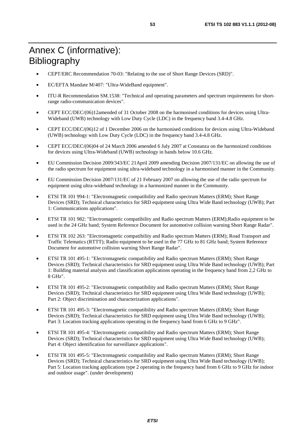- CEPT/ERC Recommendation 70-03: "Relating to the use of Short Range Devices (SRD)".
- EC/EFTA Mandate M/407: "Ultra-WideBand equipment".
- ITU-R Recommendation SM.1538: "Technical and operating parameters and spectrum requirements for shortrange radio-communication devices".
- CEPT ECC/DEC/(06)12amended of 31 October 2008 on the harmonised conditions for devices using Ultra-Wideband (UWB) technology with Low Duty Cycle (LDC) in the frequency band 3.4-4.8 GHz.
- CEPT ECC/DEC/(06)12 of 1 December 2006 on the harmonised conditions for devices using Ultra-Wideband (UWB) technology with Low Duty Cycle (LDC) in the frequency band 3.4-4.8 GHz.
- CEPT ECC/DEC/(06)04 of 24 March 2006 amended 6 July 2007 at Constanza on the harmonized conditions for devices using Ultra-Wideband (UWB) technology in bands below 10.6 GHz.
- EU Commission Decision 2009/343/EC 21April 2009 amending Decision 2007/131/EC on allowing the use of the radio spectrum for equipment using ultra-wideband technology in a harmonised manner in the Community.
- EU Commission Decision 2007/131/EC of 21 February 2007 on allowing the use of the radio spectrum for equipment using ultra-wideband technology in a harmonized manner in the Community.
- ETSI TR 101 994-1: "Electromagnetic compatibility and Radio spectrum Matters (ERM); Short Range Devices (SRD); Technical characteristics for SRD equipment using Ultra Wide Band technology (UWB); Part 1: Communications applications".
- ETSI TR 101 982: "Electromagnetic compatibility and Radio spectrum Matters (ERM);Radio equipment to be used in the 24 GHz band; System Reference Document for automotive collision warning Short Range Radar".
- ETSI TR 102 263: "Electromagnetic compatibility and Radio spectrum Matters (ERM); Road Transport and Traffic Telematics (RTTT); Radio equipment to be used in the 77 GHz to 81 GHz band; System Reference Document for automotive collision warning Short Range Radar".
- ETSI TR 101 495-1: "Electromagnetic compatibility and Radio spectrum Matters (ERM); Short Range Devices (SRD); Technical characteristics for SRD equipment using Ultra Wide Band technology (UWB); Part 1: Building material analysis and classification applications operating in the frequency band from 2,2 GHz to 8 GHz".
- ETSI TR 101 495-2: "Electromagnetic compatibility and Radio spectrum Matters (ERM); Short Range Devices (SRD); Technical characteristics for SRD equipment using Ultra Wide Band technology (UWB); Part 2: Object discrimination and characterization applications".
- ETSI TR 101 495-3: "Electromagnetic compatibility and Radio spectrum Matters (ERM); Short Range Devices (SRD); Technical characteristics for SRD equipment using Ultra Wide Band technology (UWB); Part 3: Location tracking applications operating in the frequency band from 6 GHz to 9 GHz".
- ETSI TR 101 495-4: "Electromagnetic compatibility and Radio spectrum Matters (ERM); Short Range Devices (SRD); Technical characteristics for SRD equipment using Ultra Wide Band technology (UWB); Part 4: Object identification for surveillance applications".
- ETSI TR 101 495-5: "Electromagnetic compatibility and Radio spectrum Matters (ERM); Short Range Devices (SRD); Technical characteristics for SRD equipment using Ultra Wide Band technology (UWB); Part 5: Location tracking applications type 2 operating in the frequency band from 6 GHz to 9 GHz for indoor and outdoor usage". (under development)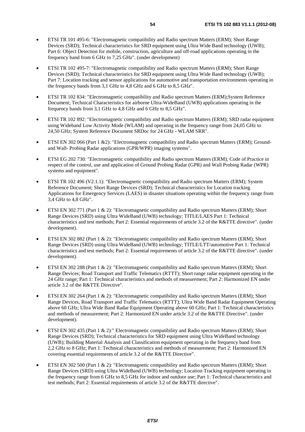- ETSI TR 101 495-6: "Electromagnetic compatibility and Radio spectrum Matters (ERM); Short Range Devices (SRD); Technical characteristics for SRD equipment using Ultra Wide Band technology (UWB); Part 6: Object Detection for mobile, construction, agriculture and off-road applications operating in the frequency band from 6 GHz to 7,25 GHz". (under development)
- ETSI TR 102 495-7: "Electromagnetic compatibility and Radio spectrum Matters (ERM); Short Range Devices (SRD); Technical characteristics for SRD equipment using Ultra Wide Band technology (UWB); Part 7: Location tracking and sensor applications for automotive and transportation environments operating in the frequency bands from 3,1 GHz to 4,8 GHz and 6 GHz to 8,5 GHz".
- ETSI TR 102 834: "Electromagnetic compatibility and Radio spectrum Matters (ERM);System Reference Document; Technical Characteristics for airborne Ultra-WideBand (UWB) applications operating in the frequency bands from 3,1 GHz to 4,8 GHz and 6 GHz to 8,5 GHz".
- ETSI TR 102 892: "Electromagnetic compatibility and Radio spectrum Matters (ERM); SRD radar equipment using Wideband Low Activity Mode (WLAM) and operating in the frequency range from 24,05 GHz to 24,50 GHz; System Reference Document SRDoc for 24 GHz - WLAM SRR".
- ETSI EN 302 066 (Part 1 & 2): "Electromagnetic compatibility and Radio spectrum Matters (ERM); Groundand Wall- Probing Radar applications (GPR/WPR) imaging systems".
- ETSI EG 202 730: "Electromagnetic compatibility and Radio spectrum Matters (ERM); Code of Practice in respect of the control, use and application of Ground Probing Radar (GPR) and Wall Probing Radar (WPR) systems and equipment".
- ETSI TR 102 496 (V2.1.1): "Electromagnetic compatibility and Radio spectrum Matters (ERM); System Reference Document; Short Range Devices (SRD); Technical characteristics for Location tracking Applications for Emergency Services (LAES) in disaster situations operating within the frequency range from 3,4 GHz to 4,8 GHz".
- ETSI EN 302 771 (Part 1 & 2): "Electromagnetic compatibility and Radio spectrum Matters (ERM); Short Range Devices (SRD) using Ultra WideBand (UWB) technology; TITLE/LAES Part 1: Technical characteristics and test methods; Part 2: Essential requirements of article 3.2 of the R&TTE directive". (under development).
- ETSI EN 302 882 (Part 1 & 2): "Electromagnetic compatibility and Radio spectrum Matters (ERM); Short Range Devices (SRD) using Ultra WideBand (UWB) technology; TITLE/LTT/automotive Part 1: Technical characteristics and test methods; Part 2: Essential requirements of article 3.2 of the R&TTE directive". (under development).
- ETSI EN 302 288 (Part 1 & 2): "Electromagnetic compatibility and Radio spectrum Matters (ERM); Short Range Devices; Road Transport and Traffic Telematics (RTTT); Short range radar equipment operating in the 24 GHz range; Part 1: Technical characteristics and methods of measurement; Part 2: Harmonized EN under article 3.2 of the R&TTE Directive".
- ETSI EN 302 264 (Part 1 & 2): "Electromagnetic compatibility and Radio spectrum Matters (ERM); Short Range Devices, Road Transport and Traffic Telematics (RTTT); Ultra Wide Band Radar Equipment Operating above 60 GHz; Ultra Wide Band Radar Equipment Operating above 60 GHz; Part 1: Technical characteristics and methods of measurement; Part 2: Harmonized EN under article 3.2 of the R&TTE Directive". (under development).
- ETSI EN 302 435 (Part 1 & 2):" Electromagnetic compatibility and Radio spectrum Matters (ERM); Short Range Devices (SRD); Technical characteristics for SRD equipment using Ultra WideBand technology (UWB); Building Material Analysis and Classification equipment operating in the frequency band from 2,2 GHz to 8 GHz; Part 1: Technical characteristics and methods of measurement; Part 2: Harmonized EN covering essential requirements of article 3.2 of the R&TTE Directive".
- ETSI EN 302 500 (Part 1 & 2): "Electromagnetic compatibility and Radio spectrum Matters (ERM); Short Range Devices (SRD) using Ultra WideBand (UWB) technology; Location Tracking equipment operating in the frequency range from 6 GHz to 8,5 GHz for indoor and outdoor use; Part 1: Technical characteristics and test methods; Part 2: Essential requirements of article 3.2 of the R&TTE directive".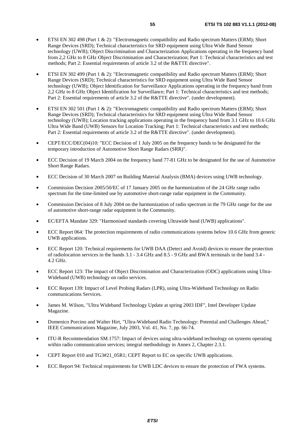- ETSI EN 302 498 (Part 1 & 2): "Electromagnetic compatibility and Radio spectrum Matters (ERM); Short Range Devices (SRD); Technical characteristics for SRD equipment using Ultra Wide Band Sensor technology (UWB); Object Discrimination and Characterization Applications operating in the frequency band from 2,2 GHz to 8 GHz Object Discrimination and Characterization; Part 1: Technical characteristics and test methods; Part 2: Essential requirements of article 3.2 of the R&TTE directive".
- ETSI EN 302 499 (Part 1 & 2): "Electromagnetic compatibility and Radio spectrum Matters (ERM); Short Range Devices (SRD); Technical characteristics for SRD equipment using Ultra Wide Band Sensor technology (UWB); Object Identification for Surveillance Applications operating in the frequency band from 2,2 GHz to 8 GHz Object Identification for Surveillance; Part 1: Technical characteristics and test methods; Part 2: Essential requirements of article 3.2 of the R&TTE directive". (under development).
- ETSI EN 302 501 (Part 1 & 2): "Electromagnetic compatibility and Radio spectrum Matters (ERM); Short Range Devices (SRD); Technical characteristics for SRD equipment using Ultra Wide Band Sensor technology (UWB); Location tracking applications operating in the frequency band from 3.1 GHz to 10.6 GHz Ultra Wide Band (UWB) Sensors for Location Tracking; Part 1: Technical characteristics and test methods; Part 2: Essential requirements of article 3.2 of the R&TTE directive". (under development).
- CEPT/ECC/DEC(04)10: "ECC Decision of 1 July 2005 on the frequency bands to be designated for the temporary introduction of Automotive Short Range Radars (SRR)".
- ECC Decision of 19 March 2004 on the frequency band 77-81 GHz to be designated for the use of Automotive Short Range Radars.
- ECC Decision of 30 March 2007 on Building Material Analysis (BMA) devices using UWB technology.
- Commission Decision 2005/50/EC of 17 January 2005 on the harmonization of the 24 GHz range radio spectrum for the time-limited use by automotive short-range radar equipment in the Community.
- Commission Decision of 8 July 2004 on the harmonization of radio spectrum in the 79 GHz range for the use of automotive short-range radar equipment in the Community.
- EC/EFTA Mandate 329: "Harmonised standards covering Ultrawide band (UWB) applications".
- ECC Report 064: The protection requirements of radio communications systems below 10.6 GHz from generic UWB applications.
- ECC Report 120: Technical requirements for UWB DAA (Detect and Avoid) devices to ensure the protection of radiolocation services in the bands 3.1 - 3.4 GHz and 8.5 - 9 GHz and BWA terminals in the band 3.4 - 4.2 GHz.
- ECC Report 123: The impact of Object Discrimination and Characterization (ODC) applications using Ultra-Wideband (UWB) technology on radio services.
- ECC Report 139: Impact of Level Probing Radars (LPR), using Ultra-Wideband Technology on Radio communications Services.
- James M. Wilson, "Ultra Wideband Technology Update at spring 2003 IDF", Intel Developer Update Magazine.
- Domenico Porcino and Walter Hirt, "Ultra-Wideband Radio Technology: Potential and Challenges Ahead," IEEE Communications Magazine, July 2003, Vol. 41, No. 7, pp. 66-74.
- ITU-R Recommendation SM.1757: Impact of devices using ultra-wideband technology on systems operating within radio communication services; integral methodology in Annex 2, Chapter 2.3.1.
- CEPT Report 010 and TG3#21\_05R1; CEPT Report to EC on specific UWB applications.
- ECC Report 94: Technical requirements for UWB LDC devices to ensure the protection of FWA systems.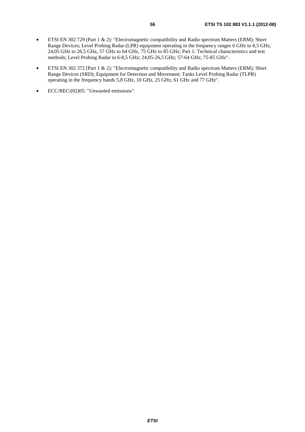- ETSI EN 302 729 (Part 1 & 2): "Electromagnetic compatibility and Radio spectrum Matters (ERM); Short Range Devices; Level Probing Radar (LPR) equipment operating in the frequency ranges 6 GHz to 8,5 GHz, 24,05 GHz to 26,5 GHz, 57 GHz to 64 GHz, 75 GHz to 85 GHz; Part 1: Technical characteristics and test methods; Level Probing Radar in 6-8,5 GHz; 24,05-26,5 GHz; 57-64 GHz; 75-85 GHz".
- ETSI EN 302 372 [Part 1 & 2): "Electromagnetic compatibility and Radio spectrum Matters (ERM); Short Range Devices (SRD); Equipment for Detection and Movement; Tanks Level Probing Radar (TLPR) operating in the frequency bands 5,8 GHz, 10 GHz, 25 GHz, 61 GHz and 77 GHz".
- ECC/REC/(02)05: "Unwanted emissions".